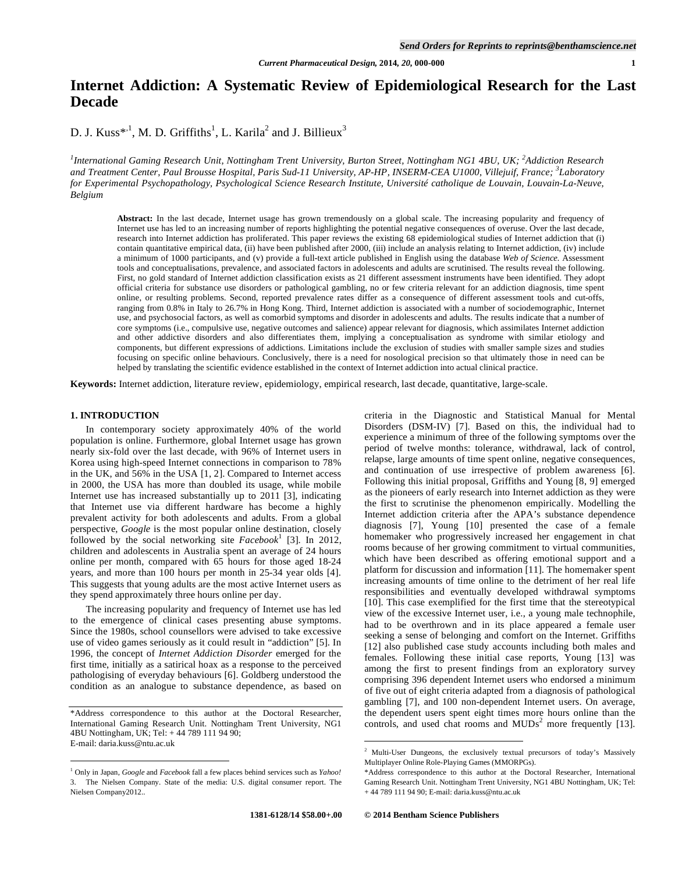# **Internet Addiction: A Systematic Review of Epidemiological Research for the Last Decade**

D. J. Kuss\*<sup>1</sup>, M. D. Griffiths<sup>1</sup>, L. Karila<sup>2</sup> and J. Billieux<sup>3</sup>

*1 International Gaming Research Unit, Nottingham Trent University, Burton Street, Nottingham NG1 4BU, UK; <sup>2</sup> Addiction Research and Treatment Center, Paul Brousse Hospital, Paris Sud-11 University, AP-HP, INSERM-CEA U1000, Villejuif, France; <sup>3</sup> Laboratory for Experimental Psychopathology, Psychological Science Research Institute, Université catholique de Louvain, Louvain-La-Neuve, Belgium* 

**Abstract:** In the last decade, Internet usage has grown tremendously on a global scale. The increasing popularity and frequency of Internet use has led to an increasing number of reports highlighting the potential negative consequences of overuse. Over the last decade, research into Internet addiction has proliferated. This paper reviews the existing 68 epidemiological studies of Internet addiction that (i) contain quantitative empirical data, (ii) have been published after 2000, (iii) include an analysis relating to Internet addiction, (iv) include a minimum of 1000 participants, and (v) provide a full-text article published in English using the database *Web of Science.* Assessment tools and conceptualisations, prevalence, and associated factors in adolescents and adults are scrutinised. The results reveal the following. First, no gold standard of Internet addiction classification exists as 21 different assessment instruments have been identified. They adopt official criteria for substance use disorders or pathological gambling, no or few criteria relevant for an addiction diagnosis, time spent online, or resulting problems. Second, reported prevalence rates differ as a consequence of different assessment tools and cut-offs, ranging from 0.8% in Italy to 26.7% in Hong Kong. Third, Internet addiction is associated with a number of sociodemographic, Internet use, and psychosocial factors, as well as comorbid symptoms and disorder in adolescents and adults. The results indicate that a number of core symptoms (i.e., compulsive use, negative outcomes and salience) appear relevant for diagnosis, which assimilates Internet addiction and other addictive disorders and also differentiates them, implying a conceptualisation as syndrome with similar etiology and components, but different expressions of addictions. Limitations include the exclusion of studies with smaller sample sizes and studies focusing on specific online behaviours. Conclusively, there is a need for nosological precision so that ultimately those in need can be helped by translating the scientific evidence established in the context of Internet addiction into actual clinical practice.

**Keywords:** Internet addiction, literature review, epidemiology, empirical research, last decade, quantitative, large-scale.

### **1. INTRODUCTION**

 $\overline{a}$ 

 In contemporary society approximately 40% of the world population is online. Furthermore, global Internet usage has grown nearly six-fold over the last decade, with 96% of Internet users in Korea using high-speed Internet connections in comparison to 78% in the UK, and 56% in the USA [1, 2]. Compared to Internet access in 2000, the USA has more than doubled its usage, while mobile Internet use has increased substantially up to 2011 [3], indicating that Internet use via different hardware has become a highly prevalent activity for both adolescents and adults. From a global perspective, *Google* is the most popular online destination, closely followed by the social networking site  $Facebook<sup>1</sup>$  [3]. In 2012, children and adolescents in Australia spent an average of 24 hours online per month, compared with 65 hours for those aged 18-24 years, and more than 100 hours per month in 25-34 year olds [4]. This suggests that young adults are the most active Internet users as they spend approximately three hours online per day.

 The increasing popularity and frequency of Internet use has led to the emergence of clinical cases presenting abuse symptoms. Since the 1980s, school counsellors were advised to take excessive use of video games seriously as it could result in "addiction" [5]. In 1996, the concept of *Internet Addiction Disorder* emerged for the first time, initially as a satirical hoax as a response to the perceived pathologising of everyday behaviours [6]. Goldberg understood the condition as an analogue to substance dependence, as based on criteria in the Diagnostic and Statistical Manual for Mental Disorders (DSM-IV) [7]. Based on this, the individual had to experience a minimum of three of the following symptoms over the period of twelve months: tolerance, withdrawal, lack of control, relapse, large amounts of time spent online, negative consequences, and continuation of use irrespective of problem awareness [6]. Following this initial proposal, Griffiths and Young [8, 9] emerged as the pioneers of early research into Internet addiction as they were the first to scrutinise the phenomenon empirically. Modelling the Internet addiction criteria after the APA's substance dependence diagnosis [7], Young [10] presented the case of a female homemaker who progressively increased her engagement in chat rooms because of her growing commitment to virtual communities, which have been described as offering emotional support and a platform for discussion and information [11]. The homemaker spent increasing amounts of time online to the detriment of her real life responsibilities and eventually developed withdrawal symptoms [10]. This case exemplified for the first time that the stereotypical view of the excessive Internet user, i.e., a young male technophile, had to be overthrown and in its place appeared a female user seeking a sense of belonging and comfort on the Internet. Griffiths [12] also published case study accounts including both males and females. Following these initial case reports, Young [13] was among the first to present findings from an exploratory survey comprising 396 dependent Internet users who endorsed a minimum of five out of eight criteria adapted from a diagnosis of pathological gambling [7], and 100 non-dependent Internet users. On average, the dependent users spent eight times more hours online than the controls, and used chat rooms and  $MUDs<sup>2</sup>$  more frequently [13].

1

<sup>\*</sup>Address correspondence to this author at the Doctoral Researcher, International Gaming Research Unit. Nottingham Trent University, NG1 4BU Nottingham, UK; Tel: + 44 789 111 94 90; E-mail: daria.kuss@ntu.ac.uk

<sup>1</sup> Only in Japan, *Google* and *Facebook* fall a few places behind services such as *Yahoo!*  3. The Nielsen Company. State of the media: U.S. digital consumer report. The Nielsen Company2012..

<sup>2</sup> Multi-User Dungeons, the exclusively textual precursors of today's Massively Multiplayer Online Role-Playing Games (MMORPGs).

<sup>\*</sup>Address correspondence to this author at the Doctoral Researcher, International Gaming Research Unit. Nottingham Trent University, NG1 4BU Nottingham, UK; Tel: + 44 789 111 94 90; E-mail: daria.kuss@ntu.ac.uk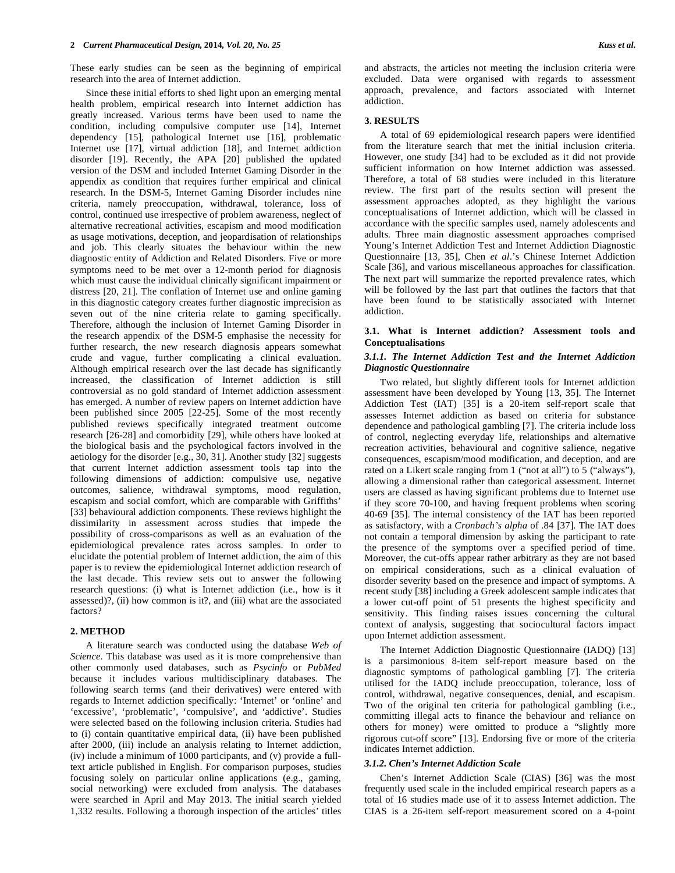These early studies can be seen as the beginning of empirical research into the area of Internet addiction.

 Since these initial efforts to shed light upon an emerging mental health problem, empirical research into Internet addiction has greatly increased. Various terms have been used to name the condition, including compulsive computer use [14], Internet dependency [15], pathological Internet use [16], problematic Internet use [17], virtual addiction [18], and Internet addiction disorder [19]. Recently, the APA [20] published the updated version of the DSM and included Internet Gaming Disorder in the appendix as condition that requires further empirical and clinical research. In the DSM-5, Internet Gaming Disorder includes nine criteria, namely preoccupation, withdrawal, tolerance, loss of control, continued use irrespective of problem awareness, neglect of alternative recreational activities, escapism and mood modification as usage motivations, deception, and jeopardisation of relationships and job. This clearly situates the behaviour within the new diagnostic entity of Addiction and Related Disorders. Five or more symptoms need to be met over a 12-month period for diagnosis which must cause the individual clinically significant impairment or distress [20, 21]. The conflation of Internet use and online gaming in this diagnostic category creates further diagnostic imprecision as seven out of the nine criteria relate to gaming specifically. Therefore, although the inclusion of Internet Gaming Disorder in the research appendix of the DSM-5 emphasise the necessity for further research, the new research diagnosis appears somewhat crude and vague, further complicating a clinical evaluation. Although empirical research over the last decade has significantly increased, the classification of Internet addiction is still controversial as no gold standard of Internet addiction assessment has emerged. A number of review papers on Internet addiction have been published since 2005 [22-25]. Some of the most recently published reviews specifically integrated treatment outcome research [26-28] and comorbidity [29], while others have looked at the biological basis and the psychological factors involved in the aetiology for the disorder [e.g., 30, 31]. Another study [32] suggests that current Internet addiction assessment tools tap into the following dimensions of addiction: compulsive use, negative outcomes, salience, withdrawal symptoms, mood regulation, escapism and social comfort, which are comparable with Griffiths' [33] behavioural addiction components. These reviews highlight the dissimilarity in assessment across studies that impede the possibility of cross-comparisons as well as an evaluation of the epidemiological prevalence rates across samples. In order to elucidate the potential problem of Internet addiction, the aim of this paper is to review the epidemiological Internet addiction research of the last decade. This review sets out to answer the following research questions: (i) what is Internet addiction (i.e., how is it assessed)?, (ii) how common is it?, and (iii) what are the associated factors?

## **2. METHOD**

 A literature search was conducted using the database *Web of Science*. This database was used as it is more comprehensive than other commonly used databases, such as *Psycinfo* or *PubMed* because it includes various multidisciplinary databases. The following search terms (and their derivatives) were entered with regards to Internet addiction specifically: 'Internet' or 'online' and 'excessive', 'problematic', 'compulsive', and 'addictive'. Studies were selected based on the following inclusion criteria. Studies had to (i) contain quantitative empirical data, (ii) have been published after 2000, (iii) include an analysis relating to Internet addiction, (iv) include a minimum of 1000 participants, and (v) provide a fulltext article published in English. For comparison purposes, studies focusing solely on particular online applications (e.g., gaming, social networking) were excluded from analysis. The databases were searched in April and May 2013. The initial search yielded 1,332 results. Following a thorough inspection of the articles' titles

and abstracts, the articles not meeting the inclusion criteria were excluded. Data were organised with regards to assessment approach, prevalence, and factors associated with Internet addiction.

## **3. RESULTS**

 A total of 69 epidemiological research papers were identified from the literature search that met the initial inclusion criteria. However, one study [34] had to be excluded as it did not provide sufficient information on how Internet addiction was assessed. Therefore, a total of 68 studies were included in this literature review. The first part of the results section will present the assessment approaches adopted, as they highlight the various conceptualisations of Internet addiction, which will be classed in accordance with the specific samples used, namely adolescents and adults. Three main diagnostic assessment approaches comprised Young's Internet Addiction Test and Internet Addiction Diagnostic Questionnaire [13, 35], Chen *et al*.'s Chinese Internet Addiction Scale [36], and various miscellaneous approaches for classification. The next part will summarize the reported prevalence rates, which will be followed by the last part that outlines the factors that that have been found to be statistically associated with Internet addiction.

### **3.1. What is Internet addiction? Assessment tools and Conceptualisations**

## *3.1.1. The Internet Addiction Test and the Internet Addiction Diagnostic Questionnaire*

 Two related, but slightly different tools for Internet addiction assessment have been developed by Young [13, 35]. The Internet Addiction Test (IAT) [35] is a 20-item self-report scale that assesses Internet addiction as based on criteria for substance dependence and pathological gambling [7]. The criteria include loss of control, neglecting everyday life, relationships and alternative recreation activities, behavioural and cognitive salience, negative consequences, escapism/mood modification, and deception, and are rated on a Likert scale ranging from 1 ("not at all") to 5 ("always"), allowing a dimensional rather than categorical assessment. Internet users are classed as having significant problems due to Internet use if they score 70-100, and having frequent problems when scoring 40-69 [35]. The internal consistency of the IAT has been reported as satisfactory, with a *Cronbach's alpha* of .84 [37]. The IAT does not contain a temporal dimension by asking the participant to rate the presence of the symptoms over a specified period of time. Moreover, the cut-offs appear rather arbitrary as they are not based on empirical considerations, such as a clinical evaluation of disorder severity based on the presence and impact of symptoms. A recent study [38] including a Greek adolescent sample indicates that a lower cut-off point of 51 presents the highest specificity and sensitivity. This finding raises issues concerning the cultural context of analysis, suggesting that sociocultural factors impact upon Internet addiction assessment.

 The Internet Addiction Diagnostic Questionnaire (IADQ) [13] is a parsimonious 8-item self-report measure based on the diagnostic symptoms of pathological gambling [7]. The criteria utilised for the IADQ include preoccupation, tolerance, loss of control, withdrawal, negative consequences, denial, and escapism. Two of the original ten criteria for pathological gambling (i.e., committing illegal acts to finance the behaviour and reliance on others for money) were omitted to produce a "slightly more rigorous cut-off score" [13]. Endorsing five or more of the criteria indicates Internet addiction.

### *3.1.2. Chen's Internet Addiction Scale*

 Chen's Internet Addiction Scale (CIAS) [36] was the most frequently used scale in the included empirical research papers as a total of 16 studies made use of it to assess Internet addiction. The CIAS is a 26-item self-report measurement scored on a 4-point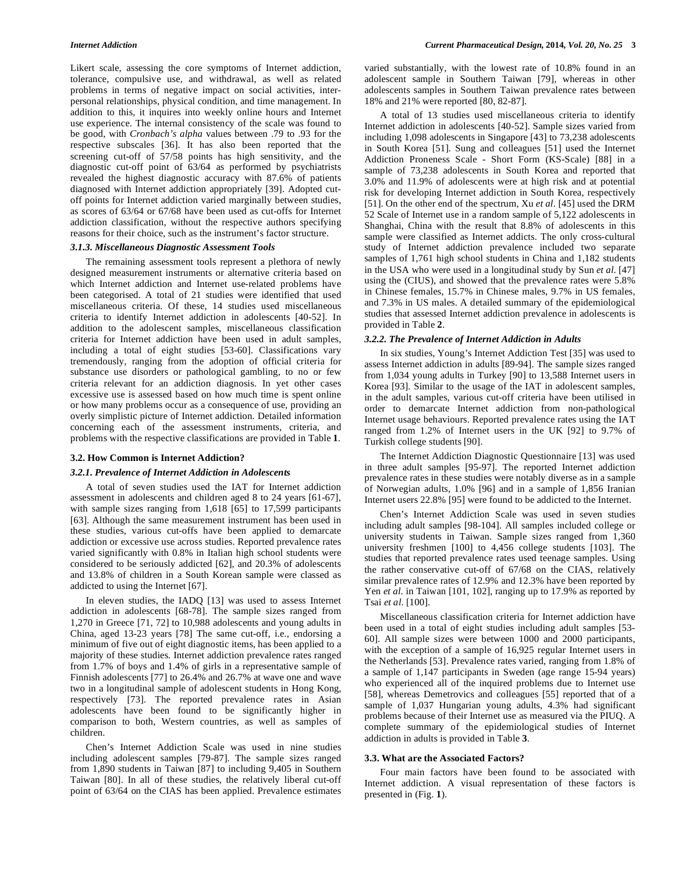Likert scale, assessing the core symptoms of Internet addiction, tolerance, compulsive use, and withdrawal, as well as related problems in terms of negative impact on social activities, interpersonal relationships, physical condition, and time management. In addition to this, it inquires into weekly online hours and Internet use experience. The internal consistency of the scale was found to be good, with *Cronbach's alpha* values between .79 to .93 for the respective subscales [36]. It has also been reported that the screening cut-off of 57/58 points has high sensitivity, and the diagnostic cut-off point of 63/64 as performed by psychiatrists revealed the highest diagnostic accuracy with 87.6% of patients diagnosed with Internet addiction appropriately [39]. Adopted cutoff points for Internet addiction varied marginally between studies, as scores of 63/64 or 67/68 have been used as cut-offs for Internet addiction classification, without the respective authors specifying reasons for their choice, such as the instrument's factor structure.

### *3.1.3. Miscellaneous Diagnostic Assessment Tools*

 The remaining assessment tools represent a plethora of newly designed measurement instruments or alternative criteria based on which Internet addiction and Internet use-related problems have been categorised. A total of 21 studies were identified that used miscellaneous criteria. Of these, 14 studies used miscellaneous criteria to identify Internet addiction in adolescents [40-52]. In addition to the adolescent samples, miscellaneous classification criteria for Internet addiction have been used in adult samples, including a total of eight studies [53-60]. Classifications vary tremendously, ranging from the adoption of official criteria for substance use disorders or pathological gambling, to no or few criteria relevant for an addiction diagnosis. In yet other cases excessive use is assessed based on how much time is spent online or how many problems occur as a consequence of use, providing an overly simplistic picture of Internet addiction. Detailed information concerning each of the assessment instruments, criteria, and problems with the respective classifications are provided in Table **1**.

#### **3.2. How Common is Internet Addiction?**

#### *3.2.1. Prevalence of Internet Addiction in Adolescents*

 A total of seven studies used the IAT for Internet addiction assessment in adolescents and children aged 8 to 24 years [61-67], with sample sizes ranging from 1,618 [65] to 17,599 participants [63]. Although the same measurement instrument has been used in these studies, various cut-offs have been applied to demarcate addiction or excessive use across studies. Reported prevalence rates varied significantly with 0.8% in Italian high school students were considered to be seriously addicted [62], and 20.3% of adolescents and 13.8% of children in a South Korean sample were classed as addicted to using the Internet [67].

 In eleven studies, the IADQ [13] was used to assess Internet addiction in adolescents [68-78]. The sample sizes ranged from 1,270 in Greece [71, 72] to 10,988 adolescents and young adults in China, aged 13-23 years [78] The same cut-off, i.e., endorsing a minimum of five out of eight diagnostic items, has been applied to a majority of these studies. Internet addiction prevalence rates ranged from 1.7% of boys and 1.4% of girls in a representative sample of Finnish adolescents [77] to 26.4% and 26.7% at wave one and wave two in a longitudinal sample of adolescent students in Hong Kong, respectively [73]. The reported prevalence rates in Asian adolescents have been found to be significantly higher in comparison to both, Western countries, as well as samples of children.

 Chen's Internet Addiction Scale was used in nine studies including adolescent samples [79-87]. The sample sizes ranged from 1,890 students in Taiwan [87] to including 9,405 in Southern Taiwan [80]. In all of these studies, the relatively liberal cut-off point of 63/64 on the CIAS has been applied. Prevalence estimates varied substantially, with the lowest rate of 10.8% found in an adolescent sample in Southern Taiwan [79], whereas in other adolescents samples in Southern Taiwan prevalence rates between 18% and 21% were reported [80, 82-87].

 A total of 13 studies used miscellaneous criteria to identify Internet addiction in adolescents [40-52]. Sample sizes varied from including 1,098 adolescents in Singapore [43] to 73,238 adolescents in South Korea [51]. Sung and colleagues [51] used the Internet Addiction Proneness Scale - Short Form (KS-Scale) [88] in a sample of 73,238 adolescents in South Korea and reported that 3.0% and 11.9% of adolescents were at high risk and at potential risk for developing Internet addiction in South Korea, respectively [51]. On the other end of the spectrum, Xu *et al*. [45] used the DRM 52 Scale of Internet use in a random sample of 5,122 adolescents in Shanghai, China with the result that 8.8% of adolescents in this sample were classified as Internet addicts. The only cross-cultural study of Internet addiction prevalence included two separate samples of 1,761 high school students in China and 1,182 students in the USA who were used in a longitudinal study by Sun *et al*. [47] using the (CIUS), and showed that the prevalence rates were 5.8% in Chinese females, 15.7% in Chinese males, 9.7% in US females, and 7.3% in US males. A detailed summary of the epidemiological studies that assessed Internet addiction prevalence in adolescents is provided in Table **2**.

#### *3.2.2. The Prevalence of Internet Addiction in Adults*

 In six studies, Young's Internet Addiction Test [35] was used to assess Internet addiction in adults [89-94]. The sample sizes ranged from 1,034 young adults in Turkey [90] to 13,588 Internet users in Korea [93]. Similar to the usage of the IAT in adolescent samples, in the adult samples, various cut-off criteria have been utilised in order to demarcate Internet addiction from non-pathological Internet usage behaviours. Reported prevalence rates using the IAT ranged from 1.2% of Internet users in the UK [92] to 9.7% of Turkish college students [90].

 The Internet Addiction Diagnostic Questionnaire [13] was used in three adult samples [95-97]. The reported Internet addiction prevalence rates in these studies were notably diverse as in a sample of Norwegian adults, 1.0% [96] and in a sample of 1,856 Iranian Internet users 22.8% [95] were found to be addicted to the Internet.

 Chen's Internet Addiction Scale was used in seven studies including adult samples [98-104]. All samples included college or university students in Taiwan. Sample sizes ranged from 1,360 university freshmen [100] to 4,456 college students [103]. The studies that reported prevalence rates used teenage samples. Using the rather conservative cut-off of 67/68 on the CIAS, relatively similar prevalence rates of 12.9% and 12.3% have been reported by Yen *et al*. in Taiwan [101, 102], ranging up to 17.9% as reported by Tsai *et al*. [100].

 Miscellaneous classification criteria for Internet addiction have been used in a total of eight studies including adult samples [53- 60]. All sample sizes were between 1000 and 2000 participants, with the exception of a sample of 16,925 regular Internet users in the Netherlands [53]. Prevalence rates varied, ranging from 1.8% of a sample of 1,147 participants in Sweden (age range 15-94 years) who experienced all of the inquired problems due to Internet use [58], whereas Demetrovics and colleagues [55] reported that of a sample of 1,037 Hungarian young adults, 4.3% had significant problems because of their Internet use as measured via the PIUQ. A complete summary of the epidemiological studies of Internet addiction in adults is provided in Table **3**.

#### **3.3. What are the Associated Factors?**

 Four main factors have been found to be associated with Internet addiction. A visual representation of these factors is presented in (Fig. **1**).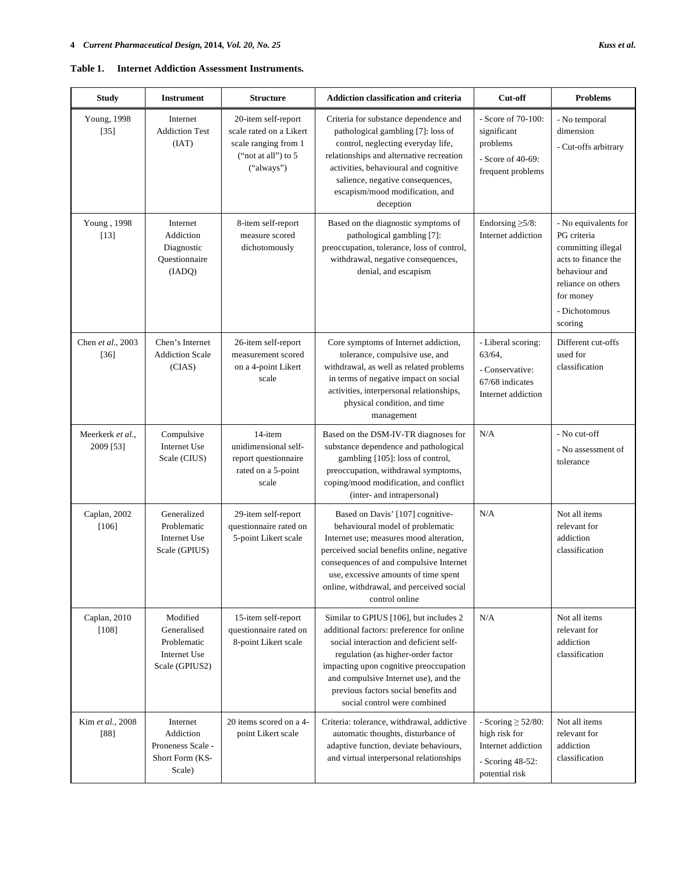| Internet Addiction Assessment Instruments.<br>Table 1. |  |
|--------------------------------------------------------|--|
|--------------------------------------------------------|--|

| <b>Study</b>                  | <b>Instrument</b>                                                        | <b>Structure</b>                                                                                              | <b>Addiction classification and criteria</b>                                                                                                                                                                                                                                                                                   | Cut-off                                                                                              | <b>Problems</b>                                                                                                                                                  |
|-------------------------------|--------------------------------------------------------------------------|---------------------------------------------------------------------------------------------------------------|--------------------------------------------------------------------------------------------------------------------------------------------------------------------------------------------------------------------------------------------------------------------------------------------------------------------------------|------------------------------------------------------------------------------------------------------|------------------------------------------------------------------------------------------------------------------------------------------------------------------|
| Young, 1998<br>$[35]$         | Internet<br><b>Addiction Test</b><br>(IAT)                               | 20-item self-report<br>scale rated on a Likert<br>scale ranging from 1<br>("not at all") to $5$<br>("always") | Criteria for substance dependence and<br>pathological gambling [7]: loss of<br>control, neglecting everyday life,<br>relationships and alternative recreation<br>activities, behavioural and cognitive<br>salience, negative consequences,<br>escapism/mood modification, and<br>deception                                     | - Score of 70-100:<br>significant<br>problems<br>- Score of 40-69:<br>frequent problems              | - No temporal<br>dimension<br>- Cut-offs arbitrary                                                                                                               |
| Young, 1998<br>$[13]$         | Internet<br>Addiction<br>Diagnostic<br>Questionnaire<br>(IADQ)           | 8-item self-report<br>measure scored<br>dichotomously                                                         | Based on the diagnostic symptoms of<br>pathological gambling [7]:<br>preoccupation, tolerance, loss of control,<br>withdrawal, negative consequences,<br>denial, and escapism                                                                                                                                                  | Endorsing $\geq 5/8$ :<br>Internet addiction                                                         | - No equivalents for<br>PG criteria<br>committing illegal<br>acts to finance the<br>behaviour and<br>reliance on others<br>for money<br>- Dichotomous<br>scoring |
| Chen et al., 2003<br>$[36]$   | Chen's Internet<br><b>Addiction Scale</b><br>(CIAS)                      | 26-item self-report<br>measurement scored<br>on a 4-point Likert<br>scale                                     | Core symptoms of Internet addiction,<br>tolerance, compulsive use, and<br>withdrawal, as well as related problems<br>in terms of negative impact on social<br>activities, interpersonal relationships,<br>physical condition, and time<br>management                                                                           | - Liberal scoring:<br>63/64.<br>- Conservative:<br>67/68 indicates<br>Internet addiction             | Different cut-offs<br>used for<br>classification                                                                                                                 |
| Meerkerk et al.,<br>2009 [53] | Compulsive<br>Internet Use<br>Scale (CIUS)                               | 14-item<br>unidimensional self-<br>report questionnaire<br>rated on a 5-point<br>scale                        | Based on the DSM-IV-TR diagnoses for<br>substance dependence and pathological<br>gambling [105]: loss of control,<br>preoccupation, withdrawal symptoms,<br>coping/mood modification, and conflict<br>(inter- and intrapersonal)                                                                                               | N/A                                                                                                  | - No cut-off<br>- No assessment of<br>tolerance                                                                                                                  |
| Caplan, 2002<br>[106]         | Generalized<br>Problematic<br>Internet Use<br>Scale (GPIUS)              | 29-item self-report<br>questionnaire rated on<br>5-point Likert scale                                         | Based on Davis' [107] cognitive-<br>behavioural model of problematic<br>Internet use; measures mood alteration,<br>perceived social benefits online, negative<br>consequences of and compulsive Internet<br>use, excessive amounts of time spent<br>online, withdrawal, and perceived social<br>control online                 | N/A                                                                                                  | Not all items<br>relevant for<br>addiction<br>classification                                                                                                     |
| Caplan, 2010<br>[108]         | Modified<br>Generalised<br>Problematic<br>Internet Use<br>Scale (GPIUS2) | 15-item self-report<br>questionnaire rated on<br>8-point Likert scale                                         | Similar to GPIUS [106], but includes 2<br>additional factors: preference for online<br>social interaction and deficient self-<br>regulation (as higher-order factor<br>impacting upon cognitive preoccupation<br>and compulsive Internet use), and the<br>previous factors social benefits and<br>social control were combined | N/A                                                                                                  | Not all items<br>relevant for<br>addiction<br>classification                                                                                                     |
| Kim et al., 2008<br>$[88]$    | Internet<br>Addiction<br>Proneness Scale -<br>Short Form (KS-<br>Scale)  | 20 items scored on a 4-<br>point Likert scale                                                                 | Criteria: tolerance, withdrawal, addictive<br>automatic thoughts, disturbance of<br>adaptive function, deviate behaviours,<br>and virtual interpersonal relationships                                                                                                                                                          | - Scoring $\geq$ 52/80:<br>high risk for<br>Internet addiction<br>- Scoring 48-52:<br>potential risk | Not all items<br>relevant for<br>addiction<br>classification                                                                                                     |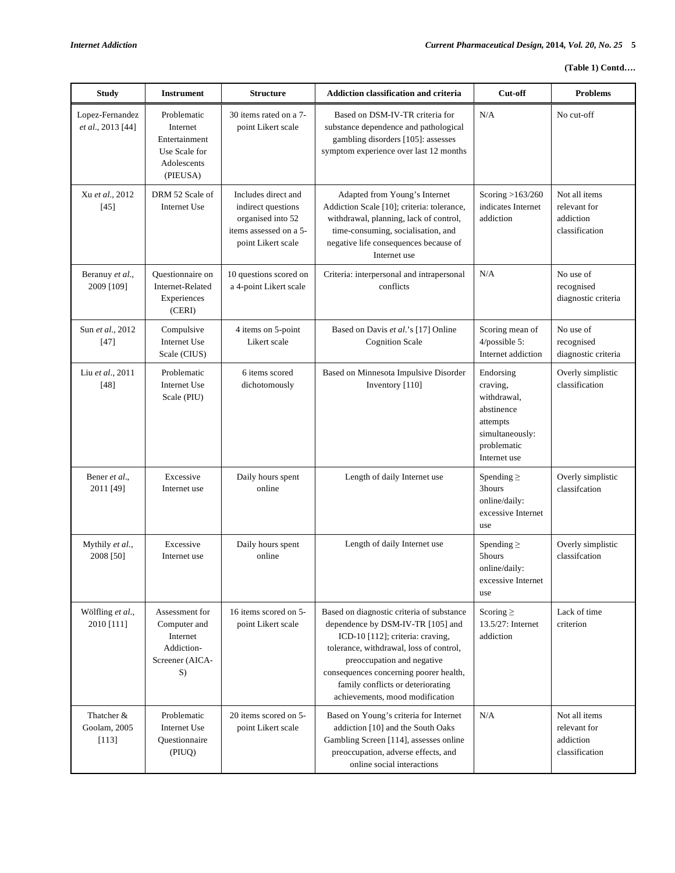| <b>Study</b>                         | <b>Instrument</b>                                                                    | <b>Structure</b>                                                                                               | Addiction classification and criteria                                                                                                                                                                                                                                                                         | Cut-off                                                                                                          | <b>Problems</b>                                              |
|--------------------------------------|--------------------------------------------------------------------------------------|----------------------------------------------------------------------------------------------------------------|---------------------------------------------------------------------------------------------------------------------------------------------------------------------------------------------------------------------------------------------------------------------------------------------------------------|------------------------------------------------------------------------------------------------------------------|--------------------------------------------------------------|
| Lopez-Fernandez<br>et al., 2013 [44] | Problematic<br>Internet<br>Entertainment<br>Use Scale for<br>Adolescents<br>(PIEUSA) | 30 items rated on a 7-<br>point Likert scale                                                                   | Based on DSM-IV-TR criteria for<br>substance dependence and pathological<br>gambling disorders [105]: assesses<br>symptom experience over last 12 months                                                                                                                                                      | N/A                                                                                                              | No cut-off                                                   |
| Xu et al., 2012<br>$[45]$            | DRM 52 Scale of<br>Internet Use                                                      | Includes direct and<br>indirect questions<br>organised into 52<br>items assessed on a 5-<br>point Likert scale | Adapted from Young's Internet<br>Addiction Scale [10]; criteria: tolerance,<br>withdrawal, planning, lack of control,<br>time-consuming, socialisation, and<br>negative life consequences because of<br>Internet use                                                                                          | Scoring $>163/260$<br>indicates Internet<br>addiction                                                            | Not all items<br>relevant for<br>addiction<br>classification |
| Beranuy et al.,<br>2009 [109]        | Questionnaire on<br>Internet-Related<br>Experiences<br>(CERI)                        | 10 questions scored on<br>a 4-point Likert scale                                                               | Criteria: interpersonal and intrapersonal<br>conflicts                                                                                                                                                                                                                                                        | N/A                                                                                                              | No use of<br>recognised<br>diagnostic criteria               |
| Sun et al., 2012<br>$[47]$           | Compulsive<br>Internet Use<br>Scale (CIUS)                                           | 4 items on 5-point<br>Likert scale                                                                             | Based on Davis et al.'s [17] Online<br><b>Cognition Scale</b>                                                                                                                                                                                                                                                 | Scoring mean of<br>$4$ /possible 5:<br>Internet addiction                                                        | No use of<br>recognised<br>diagnostic criteria               |
| Liu et al., 2011<br>$[48]$           | Problematic<br>Internet Use<br>Scale (PIU)                                           | 6 items scored<br>dichotomously                                                                                | Based on Minnesota Impulsive Disorder<br>Inventory [110]                                                                                                                                                                                                                                                      | Endorsing<br>craving.<br>withdrawal,<br>abstinence<br>attempts<br>simultaneously:<br>problematic<br>Internet use | Overly simplistic<br>classification                          |
| Bener et al.,<br>2011 [49]           | Excessive<br>Internet use                                                            | Daily hours spent<br>online                                                                                    | Length of daily Internet use                                                                                                                                                                                                                                                                                  | Spending $\geq$<br>3hours<br>online/daily:<br>excessive Internet<br>use                                          | Overly simplistic<br>classification                          |
| Mythily et al.,<br>2008 [50]         | Excessive<br>Internet use                                                            | Daily hours spent<br>online                                                                                    | Length of daily Internet use                                                                                                                                                                                                                                                                                  | Spending $\geq$<br>5hours<br>online/daily:<br>excessive Internet<br>use                                          | Overly simplistic<br>classifcation                           |
| Wölfling et al.,<br>2010 [111]       | Assessment for<br>Computer and<br>Internet<br>Addiction-<br>Screener (AICA-<br>S)    | 16 items scored on 5-<br>point Likert scale                                                                    | Based on diagnostic criteria of substance<br>dependence by DSM-IV-TR [105] and<br>ICD-10 [112]; criteria: craving,<br>tolerance, withdrawal, loss of control,<br>preoccupation and negative<br>consequences concerning poorer health,<br>family conflicts or deteriorating<br>achievements, mood modification | Scoring $\geq$<br>13.5/27: Internet<br>addiction                                                                 | Lack of time<br>criterion                                    |
| Thatcher &<br>Goolam, 2005<br>[113]  | Problematic<br>Internet Use<br>Questionnaire<br>(PIUQ)                               | 20 items scored on 5-<br>point Likert scale                                                                    | Based on Young's criteria for Internet<br>addiction [10] and the South Oaks<br>Gambling Screen [114], assesses online<br>preoccupation, adverse effects, and<br>online social interactions                                                                                                                    | N/A                                                                                                              | Not all items<br>relevant for<br>addiction<br>classification |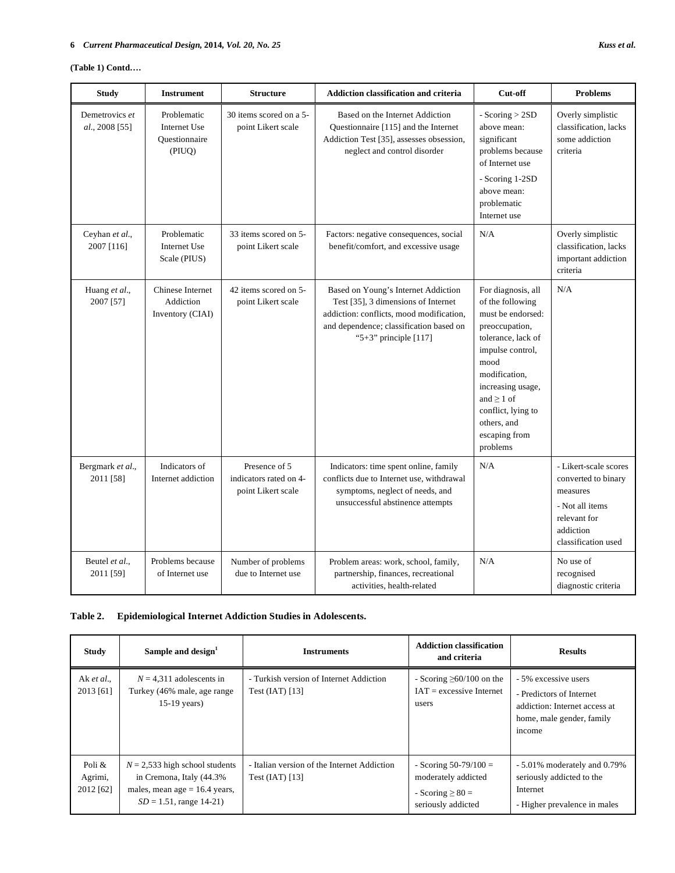## **(Table 1) Contd….**

| <b>Study</b>                     | <b>Instrument</b>                                        | <b>Structure</b>                                              | <b>Addiction classification and criteria</b>                                                                                                                                               | Cut-off                                                                                                                                                                                                                                                    | <b>Problems</b>                                                                                                                 |
|----------------------------------|----------------------------------------------------------|---------------------------------------------------------------|--------------------------------------------------------------------------------------------------------------------------------------------------------------------------------------------|------------------------------------------------------------------------------------------------------------------------------------------------------------------------------------------------------------------------------------------------------------|---------------------------------------------------------------------------------------------------------------------------------|
| Demetrovics et<br>al., 2008 [55] | Problematic<br>Internet Use<br>Questionnaire<br>(PIUQ)   | 30 items scored on a 5-<br>point Likert scale                 | Based on the Internet Addiction<br>Questionnaire [115] and the Internet<br>Addiction Test [35], assesses obsession,<br>neglect and control disorder                                        | - Scoring $> 2SD$<br>above mean:<br>significant<br>problems because<br>of Internet use<br>- Scoring 1-2SD<br>above mean:<br>problematic<br>Internet use                                                                                                    | Overly simplistic<br>classification, lacks<br>some addiction<br>criteria                                                        |
| Ceyhan et al.,<br>2007 [116]     | Problematic<br>Internet Use<br>Scale (PIUS)              | 33 items scored on 5-<br>point Likert scale                   | Factors: negative consequences, social<br>benefit/comfort, and excessive usage                                                                                                             | N/A                                                                                                                                                                                                                                                        | Overly simplistic<br>classification, lacks<br>important addiction<br>criteria                                                   |
| Huang et al.,<br>2007 [57]       | <b>Chinese Internet</b><br>Addiction<br>Inventory (CIAI) | 42 items scored on 5-<br>point Likert scale                   | Based on Young's Internet Addiction<br>Test [35], 3 dimensions of Internet<br>addiction: conflicts, mood modification,<br>and dependence; classification based on<br>"5+3" principle [117] | For diagnosis, all<br>of the following<br>must be endorsed:<br>preoccupation,<br>tolerance, lack of<br>impulse control,<br>mood<br>modification.<br>increasing usage,<br>and $\geq 1$ of<br>conflict, lying to<br>others, and<br>escaping from<br>problems | N/A                                                                                                                             |
| Bergmark et al.,<br>2011 [58]    | Indicators of<br>Internet addiction                      | Presence of 5<br>indicators rated on 4-<br>point Likert scale | Indicators: time spent online, family<br>conflicts due to Internet use, withdrawal<br>symptoms, neglect of needs, and<br>unsuccessful abstinence attempts                                  | N/A                                                                                                                                                                                                                                                        | - Likert-scale scores<br>converted to binary<br>measures<br>- Not all items<br>relevant for<br>addiction<br>classification used |
| Beutel et al.,<br>2011 [59]      | Problems because<br>of Internet use                      | Number of problems<br>due to Internet use                     | Problem areas: work, school, family,<br>partnership, finances, recreational<br>activities, health-related                                                                                  | N/A                                                                                                                                                                                                                                                        | No use of<br>recognised<br>diagnostic criteria                                                                                  |

## **Table 2. Epidemiological Internet Addiction Studies in Adolescents.**

| <b>Study</b>                   | Sample and design <sup>1</sup>                                                                                                 | <b>Instruments</b>                                               | <b>Addiction classification</b><br>and criteria                                               | <b>Results</b>                                                                                                           |
|--------------------------------|--------------------------------------------------------------------------------------------------------------------------------|------------------------------------------------------------------|-----------------------------------------------------------------------------------------------|--------------------------------------------------------------------------------------------------------------------------|
| Ak et al.,<br>2013 [61]        | $N = 4,311$ adolescents in<br>Turkey (46% male, age range<br>$15-19$ years)                                                    | - Turkish version of Internet Addiction<br>Test $(IAT)$ [13]     | - Scoring $\geq 60/100$ on the<br>$IAT =$ excessive Internet<br>users                         | - 5% excessive users<br>- Predictors of Internet<br>addiction: Internet access at<br>home, male gender, family<br>income |
| Poli &<br>Agrimi,<br>2012 [62] | $N = 2,533$ high school students<br>in Cremona, Italy (44.3%)<br>males, mean age $= 16.4$ years,<br>$SD = 1.51$ , range 14-21) | - Italian version of the Internet Addiction<br>Test $(IAT)$ [13] | - Scoring $50-79/100 =$<br>moderately addicted<br>- Scoring $\geq 80 =$<br>seriously addicted | - 5.01% moderately and 0.79%<br>seriously addicted to the<br>Internet<br>- Higher prevalence in males                    |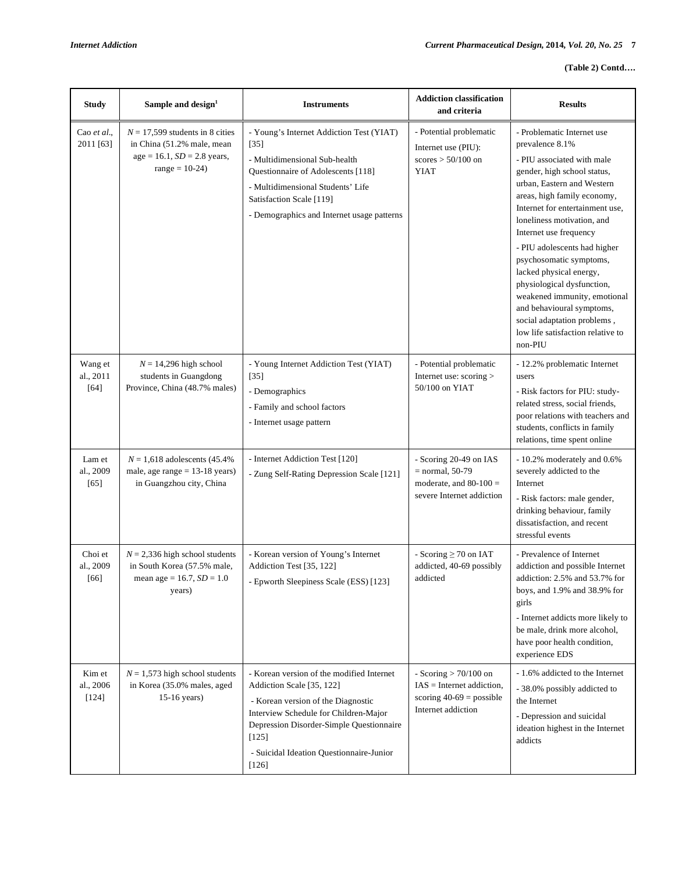| <b>Study</b>                   | Sample and design <sup>1</sup>                                                                                              | <b>Instruments</b>                                                                                                                                                                                                                                                | <b>Addiction classification</b><br>and criteria                                                           | <b>Results</b>                                                                                                                                                                                                                                                                                                                                                                                                                                                                                                                     |
|--------------------------------|-----------------------------------------------------------------------------------------------------------------------------|-------------------------------------------------------------------------------------------------------------------------------------------------------------------------------------------------------------------------------------------------------------------|-----------------------------------------------------------------------------------------------------------|------------------------------------------------------------------------------------------------------------------------------------------------------------------------------------------------------------------------------------------------------------------------------------------------------------------------------------------------------------------------------------------------------------------------------------------------------------------------------------------------------------------------------------|
| Cao et al.,<br>2011 [63]       | $N = 17,599$ students in 8 cities<br>in China (51.2% male, mean<br>$age = 16.1, SD = 2.8 \text{ years},$<br>$range = 10-24$ | - Young's Internet Addiction Test (YIAT)<br>$[35]$<br>- Multidimensional Sub-health<br>Questionnaire of Adolescents [118]<br>- Multidimensional Students' Life<br>Satisfaction Scale [119]<br>- Demographics and Internet usage patterns                          | - Potential problematic<br>Internet use (PIU):<br>scores $> 50/100$ on<br><b>YIAT</b>                     | - Problematic Internet use<br>prevalence 8.1%<br>- PIU associated with male<br>gender, high school status,<br>urban, Eastern and Western<br>areas, high family economy,<br>Internet for entertainment use,<br>loneliness motivation, and<br>Internet use frequency<br>- PIU adolescents had higher<br>psychosomatic symptoms,<br>lacked physical energy,<br>physiological dysfunction,<br>weakened immunity, emotional<br>and behavioural symptoms,<br>social adaptation problems,<br>low life satisfaction relative to<br>non-PIU |
| Wang et<br>al., 2011<br>$[64]$ | $N = 14,296$ high school<br>students in Guangdong<br>Province, China (48.7% males)                                          | - Young Internet Addiction Test (YIAT)<br>$[35]$<br>- Demographics<br>- Family and school factors<br>- Internet usage pattern                                                                                                                                     | - Potential problematic<br>Internet use: scoring ><br>50/100 on YIAT                                      | - 12.2% problematic Internet<br>users<br>- Risk factors for PIU: study-<br>related stress, social friends,<br>poor relations with teachers and<br>students, conflicts in family<br>relations, time spent online                                                                                                                                                                                                                                                                                                                    |
| Lam et<br>al., 2009<br>$[65]$  | $N = 1,618$ adolescents (45.4%)<br>male, age range $= 13-18$ years)<br>in Guangzhou city, China                             | - Internet Addiction Test [120]<br>- Zung Self-Rating Depression Scale [121]                                                                                                                                                                                      | - Scoring 20-49 on IAS<br>$=$ normal, 50-79<br>moderate, and $80-100 =$<br>severe Internet addiction      | - 10.2% moderately and 0.6%<br>severely addicted to the<br>Internet<br>- Risk factors: male gender,<br>drinking behaviour, family<br>dissatisfaction, and recent<br>stressful events                                                                                                                                                                                                                                                                                                                                               |
| Choi et<br>al., 2009<br>[66]   | $N = 2,336$ high school students<br>in South Korea (57.5% male,<br>mean age = $16.7$ , $SD = 1.0$<br>years)                 | - Korean version of Young's Internet<br>Addiction Test [35, 122]<br>- Epworth Sleepiness Scale (ESS) [123]                                                                                                                                                        | - Scoring $\geq$ 70 on IAT<br>addicted, 40-69 possibly<br>addicted                                        | - Prevalence of Internet<br>addiction and possible Internet<br>addiction: 2.5% and 53.7% for<br>boys, and $1.9\%$ and $38.9\%$ for<br>girls<br>- Internet addicts more likely to<br>be male, drink more alcohol,<br>have poor health condition,<br>experience EDS                                                                                                                                                                                                                                                                  |
| Kim et<br>al., 2006<br>$[124]$ | $N = 1,573$ high school students<br>in Korea (35.0% males, aged<br>$15-16$ years)                                           | - Korean version of the modified Internet<br>Addiction Scale [35, 122]<br>- Korean version of the Diagnostic<br>Interview Schedule for Children-Major<br>Depression Disorder-Simple Questionnaire<br>$[125]$<br>- Suicidal Ideation Questionnaire-Junior<br>[126] | - Scoring $> 70/100$ on<br>$IAS = Internet addition,$<br>scoring $40-69$ = possible<br>Internet addiction | - 1.6% addicted to the Internet<br>- 38.0% possibly addicted to<br>the Internet<br>- Depression and suicidal<br>ideation highest in the Internet<br>addicts                                                                                                                                                                                                                                                                                                                                                                        |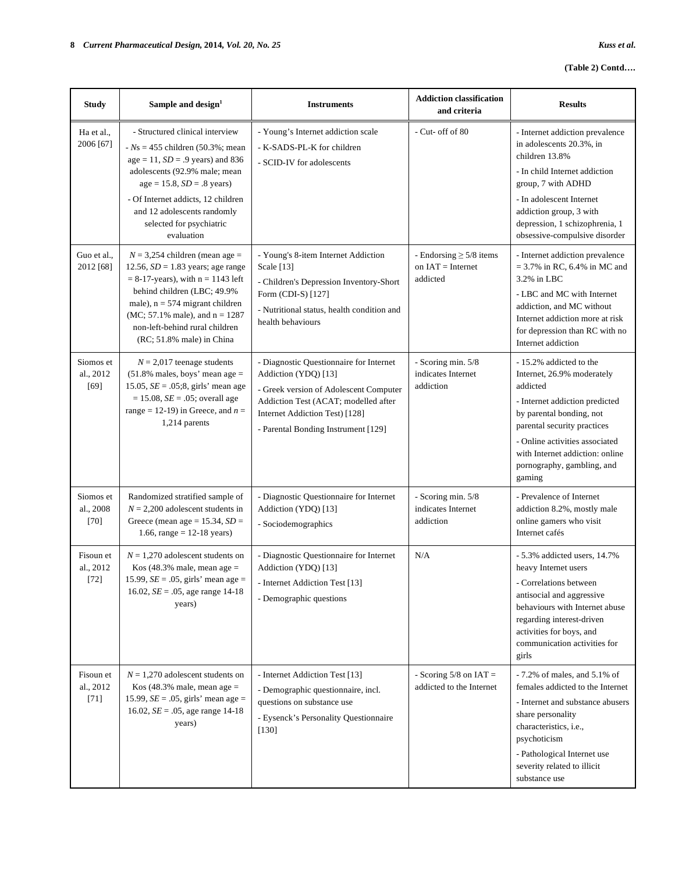## **(Table 2) Contd….**

| <b>Study</b>                     | Sample and design <sup>1</sup>                                                                                                                                                                                                                                                             | <b>Instruments</b>                                                                                                                                                                                                         | <b>Addiction classification</b><br>and criteria                 | <b>Results</b>                                                                                                                                                                                                                                                              |
|----------------------------------|--------------------------------------------------------------------------------------------------------------------------------------------------------------------------------------------------------------------------------------------------------------------------------------------|----------------------------------------------------------------------------------------------------------------------------------------------------------------------------------------------------------------------------|-----------------------------------------------------------------|-----------------------------------------------------------------------------------------------------------------------------------------------------------------------------------------------------------------------------------------------------------------------------|
| Ha et al.,<br>2006 [67]          | - Structured clinical interview<br>$-Ns = 455$ children (50.3%; mean<br>$age = 11, SD = .9 years)$ and 836<br>adolescents (92.9% male; mean<br>$age = 15.8, SD = .8 years)$<br>- Of Internet addicts, 12 children<br>and 12 adolescents randomly<br>selected for psychiatric<br>evaluation | - Young's Internet addiction scale<br>- K-SADS-PL-K for children<br>- SCID-IV for adolescents                                                                                                                              | - Cut- off of 80                                                | - Internet addiction prevalence<br>in adolescents 20.3%, in<br>children 13.8%<br>- In child Internet addiction<br>group, 7 with ADHD<br>- In adolescent Internet<br>addiction group, 3 with<br>depression, 1 schizophrenia, 1<br>obsessive-compulsive disorder              |
| Guo et al.,<br>2012 [68]         | $N = 3,254$ children (mean age =<br>12.56, $SD = 1.83$ years; age range<br>$= 8-17$ -years), with $n = 1143$ left<br>behind children (LBC; 49.9%<br>male), $n = 574$ migrant children<br>$MC$ ; 57.1% male), and $n = 1287$<br>non-left-behind rural children<br>(RC; 51.8% male) in China | - Young's 8-item Internet Addiction<br>Scale [13]<br>- Children's Depression Inventory-Short<br>Form (CDI-S) [127]<br>- Nutritional status, health condition and<br>health behaviours                                      | - Endorsing $\geq$ 5/8 items<br>on $IAT = Internet$<br>addicted | - Internet addiction prevalence<br>$= 3.7\%$ in RC, 6.4% in MC and<br>3.2% in LBC<br>- LBC and MC with Internet<br>addiction, and MC without<br>Internet addiction more at risk<br>for depression than RC with no<br>Internet addiction                                     |
| Siomos et<br>al., 2012<br>$[69]$ | $N = 2,017$ teenage students<br>$(51.8\%$ males, boys' mean age =<br>15.05, $SE = .05;8$ , girls' mean age<br>$= 15.08, SE = .05$ ; overall age<br>range = 12-19) in Greece, and $n =$<br>$1,214$ parents                                                                                  | - Diagnostic Questionnaire for Internet<br>Addiction (YDQ) [13]<br>- Greek version of Adolescent Computer<br>Addiction Test (ACAT; modelled after<br>Internet Addiction Test) [128]<br>- Parental Bonding Instrument [129] | - Scoring min. 5/8<br>indicates Internet<br>addiction           | - 15.2% addicted to the<br>Internet, 26.9% moderately<br>addicted<br>- Internet addiction predicted<br>by parental bonding, not<br>parental security practices<br>- Online activities associated<br>with Internet addiction: online<br>pornography, gambling, and<br>gaming |
| Siomos et<br>al., 2008<br>$[70]$ | Randomized stratified sample of<br>$N = 2,200$ adolescent students in<br>Greece (mean age = $15.34$ , $SD =$<br>1.66, range = $12-18$ years)                                                                                                                                               | - Diagnostic Questionnaire for Internet<br>Addiction (YDQ) [13]<br>- Sociodemographics                                                                                                                                     | - Scoring min. 5/8<br>indicates Internet<br>addiction           | - Prevalence of Internet<br>addiction 8.2%, mostly male<br>online gamers who visit<br>Internet cafés                                                                                                                                                                        |
| Fisoun et<br>al., 2012<br>$[72]$ | $N = 1,270$ adolescent students on<br>Kos (48.3% male, mean age $=$<br>15.99, $SE = .05$ , girls' mean age =<br>16.02, $SE = .05$ , age range 14-18<br>years)                                                                                                                              | - Diagnostic Questionnaire for Internet<br>Addiction (YDQ) [13]<br>- Internet Addiction Test [13]<br>- Demographic questions                                                                                               | N/A                                                             | - 5.3% addicted users, 14.7%<br>heavy Internet users<br>- Correlations between<br>antisocial and aggressive<br>behaviours with Internet abuse<br>regarding interest-driven<br>activities for boys, and<br>communication activities for<br>girls                             |
| Fisoun et<br>al., 2012<br>$[71]$ | $N = 1,270$ adolescent students on<br>Kos (48.3% male, mean age $=$<br>15.99, $SE = .05$ , girls' mean age =<br>16.02, $SE = .05$ , age range 14-18<br>years)                                                                                                                              | - Internet Addiction Test [13]<br>- Demographic questionnaire, incl.<br>questions on substance use<br>- Eysenck's Personality Questionnaire<br>$[130]$                                                                     | - Scoring $5/8$ on IAT =<br>addicted to the Internet            | $-7.2\%$ of males, and 5.1% of<br>females addicted to the Internet<br>- Internet and substance abusers<br>share personality<br>characteristics, i.e.,<br>psychoticism<br>- Pathological Internet use<br>severity related to illicit<br>substance use                        |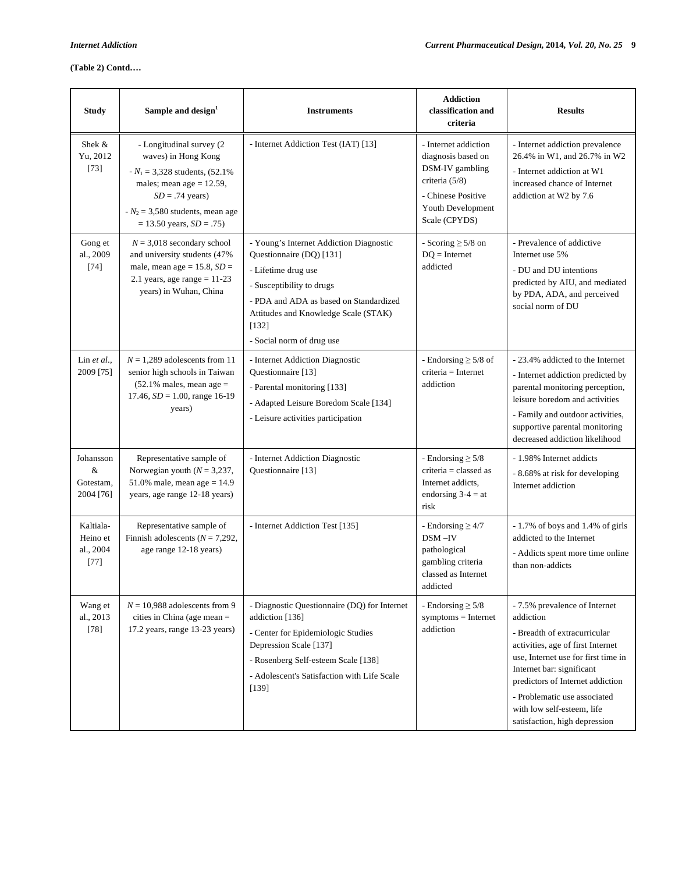| <b>Study</b>                                 | Sample and design <sup>1</sup>                                                                                                                                                                               | <b>Instruments</b>                                                                                                                                                                                                                              | <b>Addiction</b><br>classification and<br>criteria                                                                                          | <b>Results</b>                                                                                                                                                                                                                                                                                                         |
|----------------------------------------------|--------------------------------------------------------------------------------------------------------------------------------------------------------------------------------------------------------------|-------------------------------------------------------------------------------------------------------------------------------------------------------------------------------------------------------------------------------------------------|---------------------------------------------------------------------------------------------------------------------------------------------|------------------------------------------------------------------------------------------------------------------------------------------------------------------------------------------------------------------------------------------------------------------------------------------------------------------------|
| Shek &<br>Yu, 2012<br>$[73]$                 | - Longitudinal survey (2<br>waves) in Hong Kong<br>$-N_1 = 3,328$ students, (52.1%)<br>males; mean age $= 12.59$ ,<br>$SD = .74$ years)<br>$N_2$ = 3,580 students, mean age<br>$= 13.50$ years, $SD = .75$ ) | - Internet Addiction Test (IAT) [13]                                                                                                                                                                                                            | - Internet addiction<br>diagnosis based on<br>DSM-IV gambling<br>criteria (5/8)<br>- Chinese Positive<br>Youth Development<br>Scale (CPYDS) | - Internet addiction prevalence<br>26.4% in W1, and 26.7% in W2<br>- Internet addiction at W1<br>increased chance of Internet<br>addiction at W2 by 7.6                                                                                                                                                                |
| Gong et<br>al., 2009<br>$[74]$               | $N = 3,018$ secondary school<br>and university students (47%<br>male, mean age = $15.8$ , $SD =$<br>2.1 years, age range $= 11-23$<br>years) in Wuhan, China                                                 | - Young's Internet Addiction Diagnostic<br>Questionnaire (DQ) [131]<br>- Lifetime drug use<br>- Susceptibility to drugs<br>- PDA and ADA as based on Standardized<br>Attitudes and Knowledge Scale (STAK)<br>[132]<br>- Social norm of drug use | - Scoring $\geq$ 5/8 on<br>$DQ = Internet$<br>addicted                                                                                      | - Prevalence of addictive<br>Internet use 5%<br>- DU and DU intentions<br>predicted by AIU, and mediated<br>by PDA, ADA, and perceived<br>social norm of DU                                                                                                                                                            |
| Lin $et al.,$<br>2009 [75]                   | $N = 1.289$ adolescents from 11<br>senior high schools in Taiwan<br>$(52.1\%$ males, mean age =<br>$17.46$ , $SD = 1.00$ , range 16-19<br>years)                                                             | - Internet Addiction Diagnostic<br>Questionnaire [13]<br>- Parental monitoring [133]<br>- Adapted Leisure Boredom Scale [134]<br>- Leisure activities participation                                                                             | - Endorsing $\geq$ 5/8 of<br>$criterion = Internet$<br>addiction                                                                            | - 23.4% addicted to the Internet<br>- Internet addiction predicted by<br>parental monitoring perception,<br>leisure boredom and activities<br>- Family and outdoor activities,<br>supportive parental monitoring<br>decreased addiction likelihood                                                                     |
| Johansson<br>&<br>Gotestam,<br>2004 [76]     | Representative sample of<br>Norwegian youth ( $N = 3,237$ ,<br>51.0% male, mean age = $14.9$<br>years, age range 12-18 years)                                                                                | - Internet Addiction Diagnostic<br>Questionnaire [13]                                                                                                                                                                                           | - Endorsing $\geq$ 5/8<br>$criterion = classed as$<br>Internet addicts,<br>endorsing $3-4 = at$<br>risk                                     | - 1.98% Internet addicts<br>- 8.68% at risk for developing<br>Internet addiction                                                                                                                                                                                                                                       |
| Kaltiala-<br>Heino et<br>al., 2004<br>$[77]$ | Representative sample of<br>Finnish adolescents ( $N = 7,292$ ,<br>age range 12-18 years)                                                                                                                    | - Internet Addiction Test [135]                                                                                                                                                                                                                 | - Endorsing $\geq 4/7$<br>$DSM - IV$<br>pathological<br>gambling criteria<br>classed as Internet<br>addicted                                | - 1.7% of boys and 1.4% of girls<br>addicted to the Internet<br>- Addicts spent more time online<br>than non-addicts                                                                                                                                                                                                   |
| Wang et<br>al., 2013<br>$[78]$               | $N = 10,988$ adolescents from 9<br>cities in China (age mean $=$<br>17.2 years, range 13-23 years)                                                                                                           | - Diagnostic Questionnaire (DQ) for Internet<br>addiction [136]<br>- Center for Epidemiologic Studies<br>Depression Scale [137]<br>- Rosenberg Self-esteem Scale [138]<br>- Adolescent's Satisfaction with Life Scale<br>$[139]$                | - Endorsing $\geq 5/8$<br>$symptoms = Internet$<br>addiction                                                                                | - 7.5% prevalence of Internet<br>addiction<br>- Breadth of extracurricular<br>activities, age of first Internet<br>use, Internet use for first time in<br>Internet bar: significant<br>predictors of Internet addiction<br>- Problematic use associated<br>with low self-esteem, life<br>satisfaction, high depression |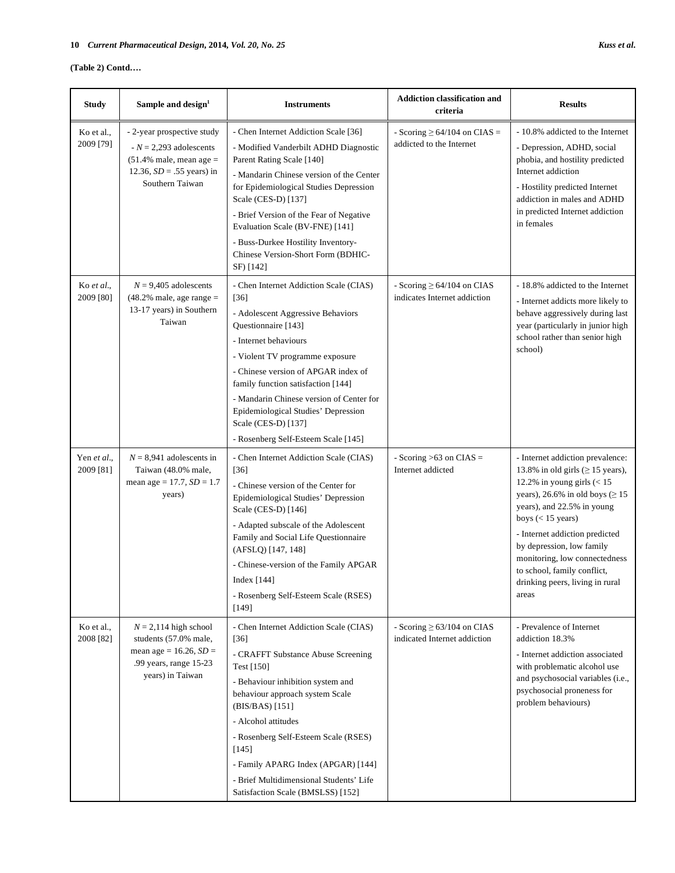## **(Table 2) Contd….**

| <b>Study</b>             | Sample and design <sup>1</sup>                                                                                                        | <b>Instruments</b>                                                                                                                                                                                                                                                                                                                                                                                     | <b>Addiction classification and</b><br>criteria                 | <b>Results</b>                                                                                                                                                                                                                                                                                                                                                                      |
|--------------------------|---------------------------------------------------------------------------------------------------------------------------------------|--------------------------------------------------------------------------------------------------------------------------------------------------------------------------------------------------------------------------------------------------------------------------------------------------------------------------------------------------------------------------------------------------------|-----------------------------------------------------------------|-------------------------------------------------------------------------------------------------------------------------------------------------------------------------------------------------------------------------------------------------------------------------------------------------------------------------------------------------------------------------------------|
| Ko et al.,<br>2009 [79]  | - 2-year prospective study<br>$N = 2,293$ adolescents<br>$(51.4\%$ male, mean age =<br>12.36, $SD = .55$ years) in<br>Southern Taiwan | - Chen Internet Addiction Scale [36]<br>- Modified Vanderbilt ADHD Diagnostic<br>Parent Rating Scale [140]<br>- Mandarin Chinese version of the Center<br>for Epidemiological Studies Depression<br>Scale (CES-D) [137]<br>- Brief Version of the Fear of Negative<br>Evaluation Scale (BV-FNE) [141]<br>- Buss-Durkee Hostility Inventory-<br>Chinese Version-Short Form (BDHIC-<br>SF) [142]         | - Scoring $\geq 64/104$ on CIAS =<br>addicted to the Internet   | - 10.8% addicted to the Internet<br>- Depression, ADHD, social<br>phobia, and hostility predicted<br>Internet addiction<br>- Hostility predicted Internet<br>addiction in males and ADHD<br>in predicted Internet addiction<br>in females                                                                                                                                           |
| Ko et al.,<br>2009 [80]  | $N = 9,405$ adolescents<br>$(48.2%$ male, age range =<br>13-17 years) in Southern<br>Taiwan                                           | - Chen Internet Addiction Scale (CIAS)<br>$[36]$<br>- Adolescent Aggressive Behaviors<br>Questionnaire [143]<br>- Internet behaviours<br>- Violent TV programme exposure<br>- Chinese version of APGAR index of<br>family function satisfaction [144]<br>- Mandarin Chinese version of Center for<br>Epidemiological Studies' Depression<br>Scale (CES-D) [137]<br>- Rosenberg Self-Esteem Scale [145] | - Scoring $\geq 64/104$ on CIAS<br>indicates Internet addiction | - 18.8% addicted to the Internet<br>- Internet addicts more likely to<br>behave aggressively during last<br>year (particularly in junior high<br>school rather than senior high<br>school)                                                                                                                                                                                          |
| Yen et al.,<br>2009 [81] | $N = 8,941$ adolescents in<br>Taiwan (48.0% male,<br>mean age = $17.7$ , $SD = 1.7$<br>years)                                         | - Chen Internet Addiction Scale (CIAS)<br>$[36]$<br>- Chinese version of the Center for<br>Epidemiological Studies' Depression<br>Scale (CES-D) [146]<br>- Adapted subscale of the Adolescent<br>Family and Social Life Questionnaire<br>(AFSLQ) [147, 148]<br>- Chinese-version of the Family APGAR<br>Index $[144]$<br>- Rosenberg Self-Esteem Scale (RSES)<br>[149]                                 | - Scoring $>63$ on CIAS =<br>Internet addicted                  | - Internet addiction prevalence:<br>13.8% in old girls ( $\geq$ 15 years),<br>12.2% in young girls $(< 15$<br>years), 26.6% in old boys ( $\geq$ 15<br>years), and 22.5% in young<br>boys $(< 15$ years)<br>- Internet addiction predicted<br>by depression, low family<br>monitoring, low connectedness<br>to school, family conflict,<br>drinking peers, living in rural<br>areas |
| Ko et al.,<br>2008 [82]  | $N = 2,114$ high school<br>students (57.0% male,<br>mean age = $16.26$ , $SD =$<br>.99 years, range 15-23<br>years) in Taiwan         | - Chen Internet Addiction Scale (CIAS)<br>$[36]$<br>- CRAFFT Substance Abuse Screening<br>Test [150]<br>- Behaviour inhibition system and<br>behaviour approach system Scale<br>(BIS/BAS) [151]<br>- Alcohol attitudes<br>- Rosenberg Self-Esteem Scale (RSES)<br>$[145]$<br>- Family APARG Index (APGAR) [144]<br>- Brief Multidimensional Students' Life<br>Satisfaction Scale (BMSLSS) [152]        | - Scoring $\geq 63/104$ on CIAS<br>indicated Internet addiction | - Prevalence of Internet<br>addiction 18.3%<br>- Internet addiction associated<br>with problematic alcohol use<br>and psychosocial variables (i.e.,<br>psychosocial proneness for<br>problem behaviours)                                                                                                                                                                            |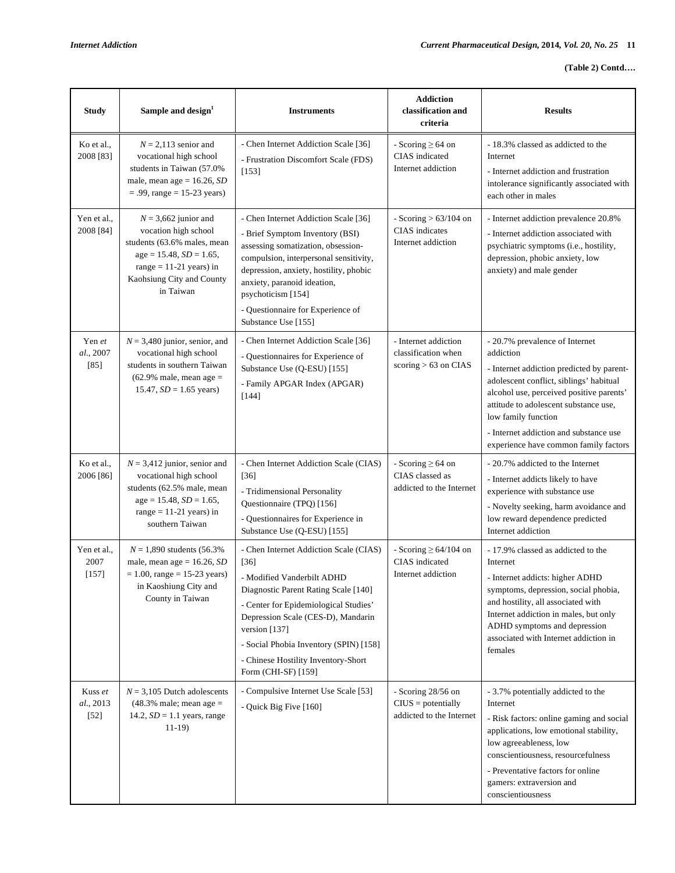| <b>Study</b>                   | Sample and design <sup>1</sup>                                                                                                                                                    | <b>Instruments</b>                                                                                                                                                                                                                                                                                                             | <b>Addiction</b><br>classification and<br>criteria                       | <b>Results</b>                                                                                                                                                                                                                                                                                                                     |
|--------------------------------|-----------------------------------------------------------------------------------------------------------------------------------------------------------------------------------|--------------------------------------------------------------------------------------------------------------------------------------------------------------------------------------------------------------------------------------------------------------------------------------------------------------------------------|--------------------------------------------------------------------------|------------------------------------------------------------------------------------------------------------------------------------------------------------------------------------------------------------------------------------------------------------------------------------------------------------------------------------|
| Ko et al.,<br>2008 [83]        | $N = 2,113$ senior and<br>vocational high school<br>students in Taiwan (57.0%<br>male, mean age = $16.26$ , SD<br>$= .99$ , range $= 15 - 23$ years)                              | - Chen Internet Addiction Scale [36]<br>- Frustration Discomfort Scale (FDS)<br>[153]                                                                                                                                                                                                                                          | - Scoring $\geq 64$ on<br>CIAS indicated<br>Internet addiction           | - 18.3% classed as addicted to the<br>Internet<br>- Internet addiction and frustration<br>intolerance significantly associated with<br>each other in males                                                                                                                                                                         |
| Yen et al.,<br>2008 [84]       | $N = 3,662$ junior and<br>vocation high school<br>students (63.6% males, mean<br>$age = 15.48, SD = 1.65,$<br>range $= 11-21$ years) in<br>Kaohsiung City and County<br>in Taiwan | - Chen Internet Addiction Scale [36]<br>- Brief Symptom Inventory (BSI)<br>assessing somatization, obsession-<br>compulsion, interpersonal sensitivity,<br>depression, anxiety, hostility, phobic<br>anxiety, paranoid ideation,<br>psychoticism [154]<br>- Questionnaire for Experience of<br>Substance Use [155]             | - Scoring $> 63/104$ on<br>CIAS indicates<br>Internet addiction          | - Internet addiction prevalence 20.8%<br>- Internet addiction associated with<br>psychiatric symptoms (i.e., hostility,<br>depression, phobic anxiety, low<br>anxiety) and male gender                                                                                                                                             |
| Yen et<br>al., 2007<br>$[85]$  | $N = 3,480$ junior, senior, and<br>vocational high school<br>students in southern Taiwan<br>$(62.9\%$ male, mean age =<br>15.47, $SD = 1.65$ years)                               | - Chen Internet Addiction Scale [36]<br>- Questionnaires for Experience of<br>Substance Use (Q-ESU) [155]<br>- Family APGAR Index (APGAR)<br>$[144]$                                                                                                                                                                           | - Internet addiction<br>classification when<br>scoring $> 63$ on CIAS    | - 20.7% prevalence of Internet<br>addiction<br>- Internet addiction predicted by parent-<br>adolescent conflict, siblings' habitual<br>alcohol use, perceived positive parents'<br>attitude to adolescent substance use,<br>low family function<br>- Internet addiction and substance use<br>experience have common family factors |
| Ko et al.,<br>2006 [86]        | $N = 3,412$ junior, senior and<br>vocational high school<br>students (62.5% male, mean<br>$age = 15.48, SD = 1.65,$<br>range = $11-21$ years) in<br>southern Taiwan               | - Chen Internet Addiction Scale (CIAS)<br>$[36]$<br>- Tridimensional Personality<br>Questionnaire (TPQ) [156]<br>- Questionnaires for Experience in<br>Substance Use (Q-ESU) [155]                                                                                                                                             | - Scoring $\geq 64$ on<br>CIAS classed as<br>addicted to the Internet    | - 20.7% addicted to the Internet<br>- Internet addicts likely to have<br>experience with substance use<br>- Novelty seeking, harm avoidance and<br>low reward dependence predicted<br>Internet addiction                                                                                                                           |
| Yen et al.,<br>2007<br>$[157]$ | $N = 1,890$ students (56.3%)<br>male, mean age = $16.26$ , SD<br>$= 1.00$ , range $= 15-23$ years)<br>in Kaoshiung City and<br>County in Taiwan                                   | - Chen Internet Addiction Scale (CIAS)<br>$[36]$<br>- Modified Vanderbilt ADHD<br>Diagnostic Parent Rating Scale [140]<br>- Center for Epidemiological Studies'<br>Depression Scale (CES-D), Mandarin<br>version [137]<br>- Social Phobia Inventory (SPIN) [158]<br>- Chinese Hostility Inventory-Short<br>Form (CHI-SF) [159] | - Scoring $\geq 64/104$ on<br>CIAS indicated<br>Internet addiction       | - 17.9% classed as addicted to the<br>Internet<br>- Internet addicts: higher ADHD<br>symptoms, depression, social phobia,<br>and hostility, all associated with<br>Internet addiction in males, but only<br>ADHD symptoms and depression<br>associated with Internet addiction in<br>females                                       |
| Kuss et<br>al., 2013<br>$[52]$ | $N = 3,105$ Dutch adolescents<br>$(48.3\%$ male; mean age =<br>14.2, $SD = 1.1$ years, range<br>$11-19$                                                                           | - Compulsive Internet Use Scale [53]<br>- Quick Big Five [160]                                                                                                                                                                                                                                                                 | - Scoring $28/56$ on<br>$CIUS = potentially$<br>addicted to the Internet | - 3.7% potentially addicted to the<br>Internet<br>- Risk factors: online gaming and social<br>applications, low emotional stability,<br>low agreeableness, low<br>conscientiousness, resourcefulness<br>- Preventative factors for online<br>gamers: extraversion and<br>conscientiousness                                         |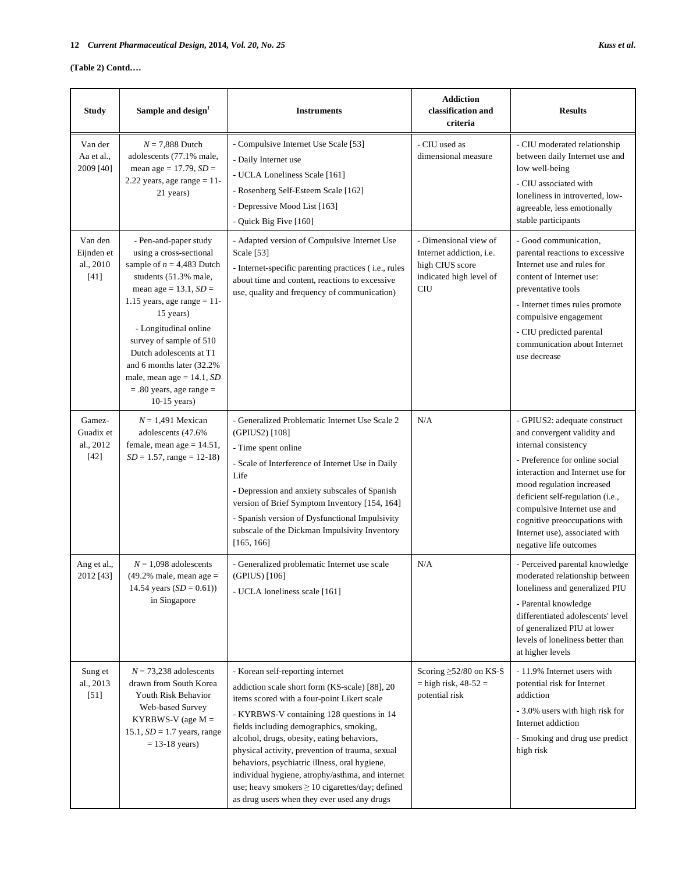*N* = 7,888 Dutch adolescents (77.1% male, mean age = 17.79, *SD* = 2.22 years, age range = 11- 21 years)

Study Sample and design<sup>1</sup>

Van der Aa et al., 2009 [40]

| <b>Instruments</b>                                                                                                                                                                                                            | <b>Addiction</b><br>classification and<br>criteria                                                                   | <b>Results</b>                                                                                                                                                                                                                                                                  |
|-------------------------------------------------------------------------------------------------------------------------------------------------------------------------------------------------------------------------------|----------------------------------------------------------------------------------------------------------------------|---------------------------------------------------------------------------------------------------------------------------------------------------------------------------------------------------------------------------------------------------------------------------------|
| - Compulsive Internet Use Scale [53]<br>- Daily Internet use<br>- UCLA Loneliness Scale [161]<br>- Rosenberg Self-Esteem Scale [162]<br>- Depressive Mood List [163]<br>- Quick Big Five [160]                                | - CIU used as<br>dimensional measure                                                                                 | - CIU moderated relationship<br>between daily Internet use and<br>low well-being<br>- CIU associated with<br>loneliness in introverted, low-<br>agreeable, less emotionally<br>stable participants                                                                              |
| - Adapted version of Compulsive Internet Use<br>Scale [53]<br>- Internet-specific parenting practices ( <i>i.e.</i> , rules<br>about time and content, reactions to excessive<br>use, quality and frequency of communication) | - Dimensional view of<br>Internet addiction, <i>i.e.</i><br>high CIUS score<br>indicated high level of<br><b>CIU</b> | - Good communication.<br>parental reactions to excessive<br>Internet use and rules for<br>content of Internet use:<br>preventative tools<br>- Internet times rules promote<br>compulsive engagement<br>- CIU predicted parental<br>communication about Internet<br>use decrease |

|                                              |                                                                                                                                                                                                                                                                                                                                                                                     | - Depressive Mood List [163]<br>- Quick Big Five [160]                                                                                                                                                                                                                                                                                                                                                                                                                                                                                 |                                                                                                               | agreeable, less emotionally<br>stable participants                                                                                                                                                                                                                                                                                                     |
|----------------------------------------------|-------------------------------------------------------------------------------------------------------------------------------------------------------------------------------------------------------------------------------------------------------------------------------------------------------------------------------------------------------------------------------------|----------------------------------------------------------------------------------------------------------------------------------------------------------------------------------------------------------------------------------------------------------------------------------------------------------------------------------------------------------------------------------------------------------------------------------------------------------------------------------------------------------------------------------------|---------------------------------------------------------------------------------------------------------------|--------------------------------------------------------------------------------------------------------------------------------------------------------------------------------------------------------------------------------------------------------------------------------------------------------------------------------------------------------|
| Van den<br>Eijnden et<br>al., 2010<br>$[41]$ | - Pen-and-paper study<br>using a cross-sectional<br>sample of $n = 4,483$ Dutch<br>students (51.3% male,<br>mean age = $13.1$ , $SD =$<br>1.15 years, age range $= 11$ -<br>15 years)<br>- Longitudinal online<br>survey of sample of 510<br>Dutch adolescents at T1<br>and 6 months later (32.2%<br>male, mean age = $14.1$ , SD<br>$= .80$ years, age range $=$<br>$10-15$ years) | - Adapted version of Compulsive Internet Use<br>Scale [53]<br>- Internet-specific parenting practices (i.e., rules<br>about time and content, reactions to excessive<br>use, quality and frequency of communication)                                                                                                                                                                                                                                                                                                                   | - Dimensional view of<br>Internet addiction, i.e.<br>high CIUS score<br>indicated high level of<br><b>CIU</b> | - Good communication,<br>parental reactions to excessive<br>Internet use and rules for<br>content of Internet use:<br>preventative tools<br>- Internet times rules promote<br>compulsive engagement<br>- CIU predicted parental<br>communication about Internet<br>use decrease                                                                        |
| Gamez-<br>Guadix et<br>al., 2012<br>$[42]$   | $N = 1,491$ Mexican<br>adolescents (47.6%<br>female, mean age $= 14.51$ ,<br>$SD = 1.57$ , range = 12-18)                                                                                                                                                                                                                                                                           | - Generalized Problematic Internet Use Scale 2<br>(GPIUS2) [108]<br>- Time spent online<br>- Scale of Interference of Internet Use in Daily<br>Life<br>- Depression and anxiety subscales of Spanish<br>version of Brief Symptom Inventory [154, 164]<br>- Spanish version of Dysfunctional Impulsivity<br>subscale of the Dickman Impulsivity Inventory<br>[165, 166]                                                                                                                                                                 | N/A                                                                                                           | - GPIUS2: adequate construct<br>and convergent validity and<br>internal consistency<br>- Preference for online social<br>interaction and Internet use for<br>mood regulation increased<br>deficient self-regulation (i.e.,<br>compulsive Internet use and<br>cognitive preoccupations with<br>Internet use), associated with<br>negative life outcomes |
| Ang et al.,<br>2012 [43]                     | $N = 1,098$ adolescents<br>$(49.2\%$ male, mean age =<br>14.54 years $(SD = 0.61)$ )<br>in Singapore                                                                                                                                                                                                                                                                                | - Generalized problematic Internet use scale<br>(GPIUS) [106]<br>- UCLA loneliness scale [161]                                                                                                                                                                                                                                                                                                                                                                                                                                         | N/A                                                                                                           | - Perceived parental knowledge<br>moderated relationship between<br>loneliness and generalized PIU<br>- Parental knowledge<br>differentiated adolescents' level<br>of generalized PIU at lower<br>levels of loneliness better than<br>at higher levels                                                                                                 |
| Sung et<br>al., 2013<br>$[51]$               | $N = 73,238$ adolescents<br>drawn from South Korea<br>Youth Risk Behavior<br>Web-based Survey<br>KYRBWS-V (age $M =$<br>15.1, $SD = 1.7$ years, range<br>$= 13-18$ years)                                                                                                                                                                                                           | - Korean self-reporting internet<br>addiction scale short form (KS-scale) [88], 20<br>items scored with a four-point Likert scale<br>- KYRBWS-V containing 128 questions in 14<br>fields including demographics, smoking,<br>alcohol, drugs, obesity, eating behaviors,<br>physical activity, prevention of trauma, sexual<br>behaviors, psychiatric illness, oral hygiene,<br>individual hygiene, atrophy/asthma, and internet<br>use; heavy smokers $\geq 10$ cigarettes/day; defined<br>as drug users when they ever used any drugs | Scoring $\geq$ 52/80 on KS-S<br>$=$ high risk, 48-52 $=$<br>potential risk                                    | - 11.9% Internet users with<br>potential risk for Internet<br>addiction<br>- 3.0% users with high risk for<br>Internet addiction<br>- Smoking and drug use predict<br>high risk                                                                                                                                                                        |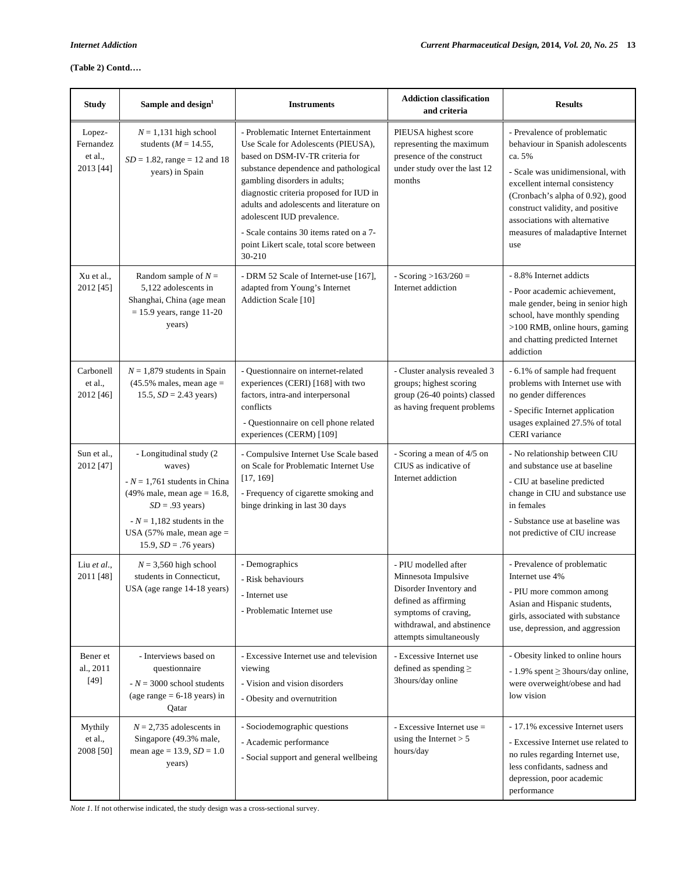## **(Table 2) Contd….**

| <b>Study</b>                                | Sample and design <sup>1</sup>                                                                                                                                                                                                  | <b>Instruments</b>                                                                                                                                                                                                                                                                                                                                                                                            | <b>Addiction classification</b><br>and criteria                                                                                                                                | <b>Results</b>                                                                                                                                                                                                                                                                                      |
|---------------------------------------------|---------------------------------------------------------------------------------------------------------------------------------------------------------------------------------------------------------------------------------|---------------------------------------------------------------------------------------------------------------------------------------------------------------------------------------------------------------------------------------------------------------------------------------------------------------------------------------------------------------------------------------------------------------|--------------------------------------------------------------------------------------------------------------------------------------------------------------------------------|-----------------------------------------------------------------------------------------------------------------------------------------------------------------------------------------------------------------------------------------------------------------------------------------------------|
| Lopez-<br>Fernandez<br>et al.,<br>2013 [44] | $N = 1,131$ high school<br>students ( $M = 14.55$ ,<br>$SD = 1.82$ , range = 12 and 18<br>years) in Spain                                                                                                                       | - Problematic Internet Entertainment<br>Use Scale for Adolescents (PIEUSA),<br>based on DSM-IV-TR criteria for<br>substance dependence and pathological<br>gambling disorders in adults;<br>diagnostic criteria proposed for IUD in<br>adults and adolescents and literature on<br>adolescent IUD prevalence.<br>- Scale contains 30 items rated on a 7-<br>point Likert scale, total score between<br>30-210 | PIEUSA highest score<br>representing the maximum<br>presence of the construct<br>under study over the last 12<br>months                                                        | - Prevalence of problematic<br>behaviour in Spanish adolescents<br>ca. 5%<br>- Scale was unidimensional, with<br>excellent internal consistency<br>(Cronbach's alpha of 0.92), good<br>construct validity, and positive<br>associations with alternative<br>measures of maladaptive Internet<br>use |
| Xu et al.,<br>2012 [45]                     | Random sample of $N =$<br>5,122 adolescents in<br>Shanghai, China (age mean<br>$= 15.9$ years, range 11-20<br>years)                                                                                                            | - DRM 52 Scale of Internet-use [167],<br>adapted from Young's Internet<br>Addiction Scale [10]                                                                                                                                                                                                                                                                                                                | - Scoring $>163/260 =$<br>Internet addiction                                                                                                                                   | - 8.8% Internet addicts<br>- Poor academic achievement,<br>male gender, being in senior high<br>school, have monthly spending<br>>100 RMB, online hours, gaming<br>and chatting predicted Internet<br>addiction                                                                                     |
| Carbonell<br>et al.,<br>2012 [46]           | $N = 1,879$ students in Spain<br>$(45.5\%$ males, mean age =<br>15.5, $SD = 2.43$ years)                                                                                                                                        | - Questionnaire on internet-related<br>experiences (CERI) [168] with two<br>factors, intra-and interpersonal<br>conflicts<br>- Questionnaire on cell phone related<br>experiences (CERM) [109]                                                                                                                                                                                                                | - Cluster analysis revealed 3<br>groups; highest scoring<br>group (26-40 points) classed<br>as having frequent problems                                                        | - 6.1% of sample had frequent<br>problems with Internet use with<br>no gender differences<br>- Specific Internet application<br>usages explained 27.5% of total<br>CERI variance                                                                                                                    |
| Sun et al.,<br>2012 [47]                    | - Longitudinal study (2<br>waves)<br>$N = 1,761$ students in China<br>$(49\% \text{ male}, \text{mean age} = 16.8,$<br>$SD = .93$ years)<br>$N = 1,182$ students in the<br>USA (57% male, mean age =<br>15.9, $SD = .76$ years) | - Compulsive Internet Use Scale based<br>on Scale for Problematic Internet Use<br>[17, 169]<br>- Frequency of cigarette smoking and<br>binge drinking in last 30 days                                                                                                                                                                                                                                         | - Scoring a mean of 4/5 on<br>CIUS as indicative of<br>Internet addiction                                                                                                      | - No relationship between CIU<br>and substance use at baseline<br>- CIU at baseline predicted<br>change in CIU and substance use<br>in females<br>- Substance use at baseline was<br>not predictive of CIU increase                                                                                 |
| Liu et al.,<br>2011 [48]                    | $N = 3,560$ high school<br>students in Connecticut,<br>USA (age range 14-18 years)                                                                                                                                              | - Demographics<br>- Risk behaviours<br>- Internet use<br>- Problematic Internet use                                                                                                                                                                                                                                                                                                                           | - PIU modelled after<br>Minnesota Impulsive<br>Disorder Inventory and<br>defined as affirming<br>symptoms of craving,<br>withdrawal, and abstinence<br>attempts simultaneously | - Prevalence of problematic<br>Internet use 4%<br>- PIU more common among<br>Asian and Hispanic students,<br>girls, associated with substance<br>use, depression, and aggression                                                                                                                    |
| Bener et<br>al., 2011<br>[49]               | - Interviews based on<br>questionnaire<br>$N = 3000$ school students<br>(age range $= 6-18$ years) in<br>Qatar                                                                                                                  | - Excessive Internet use and television<br>viewing<br>- Vision and vision disorders<br>- Obesity and overnutrition                                                                                                                                                                                                                                                                                            | - Excessive Internet use<br>defined as spending $\geq$<br>3hours/day online                                                                                                    | - Obesity linked to online hours<br>$-1.9\%$ spent $\geq$ 3 hours/day online,<br>were overweight/obese and had<br>low vision                                                                                                                                                                        |
| Mythily<br>et al.,<br>2008 [50]             | $N = 2,735$ adolescents in<br>Singapore (49.3% male,<br>mean age = $13.9$ , $SD = 1.0$<br>years)                                                                                                                                | - Sociodemographic questions<br>- Academic performance<br>- Social support and general wellbeing                                                                                                                                                                                                                                                                                                              | - Excessive Internet use =<br>using the Internet $> 5$<br>hours/day                                                                                                            | - 17.1% excessive Internet users<br>- Excessive Internet use related to<br>no rules regarding Internet use,<br>less confidants, sadness and<br>depression, poor academic<br>performance                                                                                                             |

*Note 1*. If not otherwise indicated, the study design was a cross-sectional survey.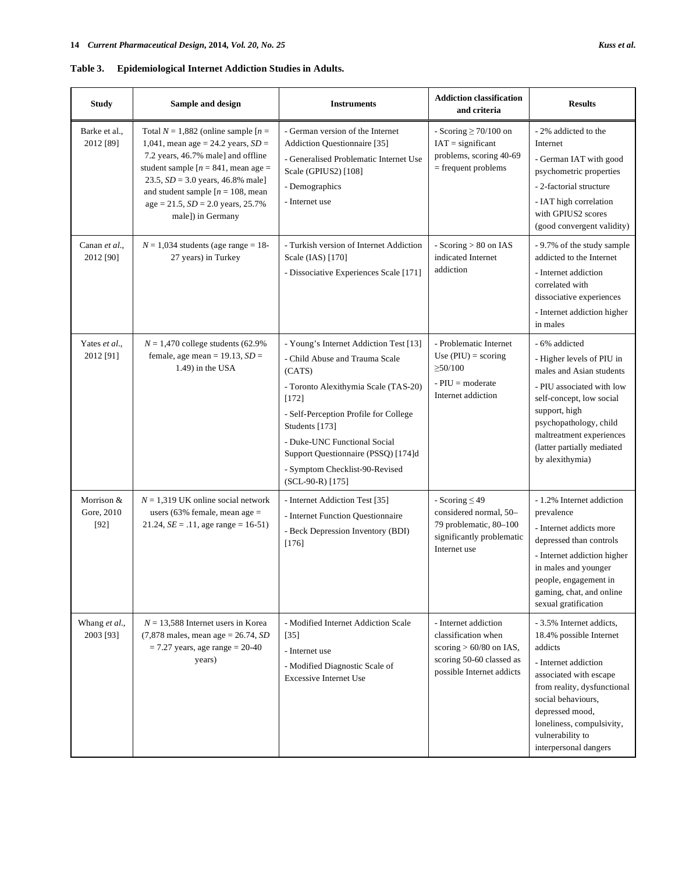## **Table 3. Epidemiological Internet Addiction Studies in Adults.**

| <b>Study</b>                       | Sample and design                                                                                                                                                                                                                                                                                                           | <b>Instruments</b>                                                                                                                                                                                                                                                                                                          | <b>Addiction classification</b><br>and criteria                                                                                   | <b>Results</b>                                                                                                                                                                                                                                                     |
|------------------------------------|-----------------------------------------------------------------------------------------------------------------------------------------------------------------------------------------------------------------------------------------------------------------------------------------------------------------------------|-----------------------------------------------------------------------------------------------------------------------------------------------------------------------------------------------------------------------------------------------------------------------------------------------------------------------------|-----------------------------------------------------------------------------------------------------------------------------------|--------------------------------------------------------------------------------------------------------------------------------------------------------------------------------------------------------------------------------------------------------------------|
| Barke et al.,<br>2012 [89]         | Total $N = 1,882$ (online sample $[n =$<br>1,041, mean age = 24.2 years, $SD =$<br>7.2 years, 46.7% male] and offline<br>student sample $[n = 841, \text{ mean age} =$<br>23.5, $SD = 3.0$ years, 46.8% male]<br>and student sample $[n = 108, \text{mean}]$<br>$age = 21.5$ , $SD = 2.0$ years, 25.7%<br>male]) in Germany | - German version of the Internet<br>Addiction Questionnaire [35]<br>- Generalised Problematic Internet Use<br>Scale (GPIUS2) [108]<br>- Demographics<br>- Internet use                                                                                                                                                      | - Scoring $\geq$ 70/100 on<br>$IAT =$ significant<br>problems, scoring 40-69<br>$=$ frequent problems                             | - 2% addicted to the<br>Internet<br>- German IAT with good<br>psychometric properties<br>- 2-factorial structure<br>- IAT high correlation<br>with GPIUS2 scores<br>(good convergent validity)                                                                     |
| Canan et al.,<br>2012 [90]         | $N = 1,034$ students (age range = 18-<br>27 years) in Turkey                                                                                                                                                                                                                                                                | - Turkish version of Internet Addiction<br>Scale (IAS) [170]<br>- Dissociative Experiences Scale [171]                                                                                                                                                                                                                      | - Scoring > 80 on IAS<br>indicated Internet<br>addiction                                                                          | - 9.7% of the study sample<br>addicted to the Internet<br>- Internet addiction<br>correlated with<br>dissociative experiences<br>- Internet addiction higher<br>in males                                                                                           |
| Yates et al.,<br>2012 [91]         | $N = 1,470$ college students (62.9%)<br>female, age mean = $19.13$ , $SD =$<br>1.49) in the USA                                                                                                                                                                                                                             | - Young's Internet Addiction Test [13]<br>- Child Abuse and Trauma Scale<br>(CATS)<br>- Toronto Alexithymia Scale (TAS-20)<br>[172]<br>- Self-Perception Profile for College<br>Students [173]<br>- Duke-UNC Functional Social<br>Support Questionnaire (PSSQ) [174]d<br>- Symptom Checklist-90-Revised<br>(SCL-90-R) [175] | - Problematic Internet<br>Use $(PIU) = scoring$<br>$\geq 50/100$<br>$-$ PIU = moderate<br>Internet addiction                      | - 6% addicted<br>- Higher levels of PIU in<br>males and Asian students<br>- PIU associated with low<br>self-concept, low social<br>support, high<br>psychopathology, child<br>maltreatment experiences<br>(latter partially mediated<br>by alexithymia)            |
| Morrison &<br>Gore, 2010<br>$[92]$ | $N = 1,319$ UK online social network<br>users (63% female, mean age $=$<br>21.24, $SE = .11$ , age range = 16-51)                                                                                                                                                                                                           | - Internet Addiction Test [35]<br>- Internet Function Questionnaire<br>- Beck Depression Inventory (BDI)<br>$[176]$                                                                                                                                                                                                         | - Scoring $\leq$ 49<br>considered normal, 50-<br>79 problematic, 80-100<br>significantly problematic<br>Internet use              | - 1.2% Internet addiction<br>prevalence<br>- Internet addicts more<br>depressed than controls<br>- Internet addiction higher<br>in males and younger<br>people, engagement in<br>gaming, chat, and online<br>sexual gratification                                  |
| Whang et al.,<br>2003 [93]         | $N = 13,588$ Internet users in Korea<br>$(7,878 \text{ males}, \text{mean age} = 26.74, SD)$<br>$= 7.27$ years, age range $= 20-40$<br>years)                                                                                                                                                                               | - Modified Internet Addiction Scale<br>$[35]$<br>- Internet use<br>- Modified Diagnostic Scale of<br><b>Excessive Internet Use</b>                                                                                                                                                                                          | - Internet addiction<br>classification when<br>scoring $> 60/80$ on IAS,<br>scoring 50-60 classed as<br>possible Internet addicts | - 3.5% Internet addicts,<br>18.4% possible Internet<br>addicts<br>- Internet addiction<br>associated with escape<br>from reality, dysfunctional<br>social behaviours,<br>depressed mood,<br>loneliness, compulsivity,<br>vulnerability to<br>interpersonal dangers |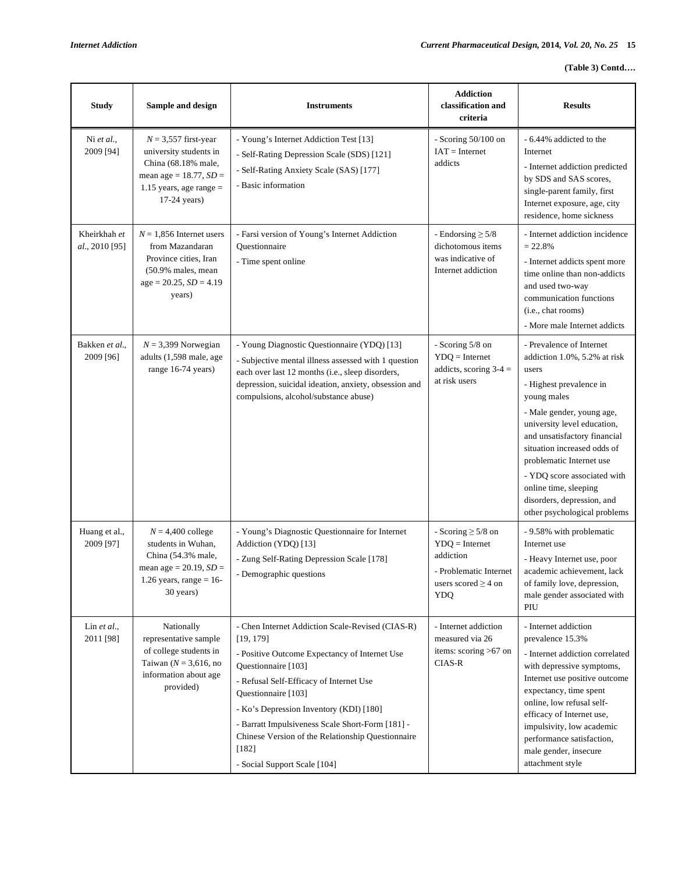| <b>Study</b>                   | Sample and design                                                                                                                                   | <b>Instruments</b>                                                                                                                                                                                                                                                                                                                                                                                     | <b>Addiction</b><br>classification and<br>criteria                                                                           | <b>Results</b>                                                                                                                                                                                                                                                                                                                                                                           |
|--------------------------------|-----------------------------------------------------------------------------------------------------------------------------------------------------|--------------------------------------------------------------------------------------------------------------------------------------------------------------------------------------------------------------------------------------------------------------------------------------------------------------------------------------------------------------------------------------------------------|------------------------------------------------------------------------------------------------------------------------------|------------------------------------------------------------------------------------------------------------------------------------------------------------------------------------------------------------------------------------------------------------------------------------------------------------------------------------------------------------------------------------------|
| Ni et al.,<br>2009 [94]        | $N = 3,557$ first-year<br>university students in<br>China (68.18% male,<br>mean age = $18.77$ , $SD =$<br>$1.15$ years, age range =<br>17-24 years) | - Young's Internet Addiction Test [13]<br>- Self-Rating Depression Scale (SDS) [121]<br>- Self-Rating Anxiety Scale (SAS) [177]<br>- Basic information                                                                                                                                                                                                                                                 | - Scoring $50/100$ on<br>$IAT = Internet$<br>addicts                                                                         | - 6.44% addicted to the<br>Internet<br>- Internet addiction predicted<br>by SDS and SAS scores,<br>single-parent family, first<br>Internet exposure, age, city<br>residence, home sickness                                                                                                                                                                                               |
| Kheirkhah et<br>al., 2010 [95] | $N = 1,856$ Internet users<br>from Mazandaran<br>Province cities, Iran<br>$(50.9%$ males, mean<br>$age = 20.25$ , $SD = 4.19$<br>years)             | - Farsi version of Young's Internet Addiction<br>Ouestionnaire<br>- Time spent online                                                                                                                                                                                                                                                                                                                  | - Endorsing $\geq$ 5/8<br>dichotomous items<br>was indicative of<br>Internet addiction                                       | - Internet addiction incidence<br>$= 22.8%$<br>- Internet addicts spent more<br>time online than non-addicts<br>and used two-way<br>communication functions<br>(i.e., chat rooms)<br>- More male Internet addicts                                                                                                                                                                        |
| Bakken et al.,<br>2009 [96]    | $N = 3,399$ Norwegian<br>adults (1,598 male, age<br>range 16-74 years)                                                                              | - Young Diagnostic Questionnaire (YDQ) [13]<br>- Subjective mental illness assessed with 1 question<br>each over last 12 months (i.e., sleep disorders,<br>depression, suicidal ideation, anxiety, obsession and<br>compulsions, alcohol/substance abuse)                                                                                                                                              | - Scoring 5/8 on<br>$YDQ = Internet$<br>addicts, scoring $3-4 =$<br>at risk users                                            | - Prevalence of Internet<br>addiction 1.0%, 5.2% at risk<br>users<br>- Highest prevalence in<br>young males<br>- Male gender, young age,<br>university level education,<br>and unsatisfactory financial<br>situation increased odds of<br>problematic Internet use<br>- YDQ score associated with<br>online time, sleeping<br>disorders, depression, and<br>other psychological problems |
| Huang et al.,<br>2009 [97]     | $N = 4,400$ college<br>students in Wuhan,<br>China (54.3% male,<br>mean age = $20.19$ , $SD =$<br>1.26 years, range = $16$ -<br>30 years)           | - Young's Diagnostic Questionnaire for Internet<br>Addiction (YDQ) [13]<br>- Zung Self-Rating Depression Scale [178]<br>- Demographic questions                                                                                                                                                                                                                                                        | - Scoring $\geq$ 5/8 on<br>$YDQ = Internet$<br>addiction<br>- Problematic Internet<br>users scored $\geq$ 4 on<br><b>YDQ</b> | - 9.58% with problematic<br>Internet use<br>- Heavy Internet use, poor<br>academic achievement, lack<br>of family love, depression,<br>male gender associated with<br>PIU                                                                                                                                                                                                                |
| Lin $et al.,$<br>2011 [98]     | Nationally<br>representative sample<br>of college students in<br>Taiwan ( $N = 3,616$ , no<br>information about age<br>provided)                    | - Chen Internet Addiction Scale-Revised (CIAS-R)<br>[19, 179]<br>- Positive Outcome Expectancy of Internet Use<br>Questionnaire [103]<br>- Refusal Self-Efficacy of Internet Use<br>Questionnaire [103]<br>- Ko's Depression Inventory (KDI) [180]<br>- Barratt Impulsiveness Scale Short-Form [181] -<br>Chinese Version of the Relationship Questionnaire<br>$[182]$<br>- Social Support Scale [104] | - Internet addiction<br>measured via 26<br>items: scoring $>67$ on<br>CIAS-R                                                 | - Internet addiction<br>prevalence 15.3%<br>- Internet addiction correlated<br>with depressive symptoms,<br>Internet use positive outcome<br>expectancy, time spent<br>online, low refusal self-<br>efficacy of Internet use,<br>impulsivity, low academic<br>performance satisfaction,<br>male gender, insecure<br>attachment style                                                     |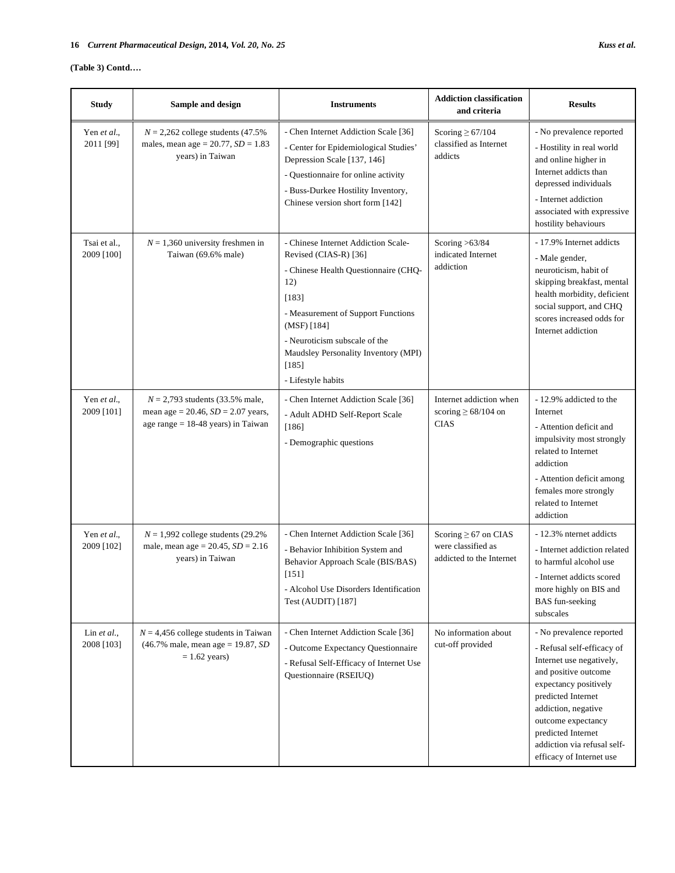## **(Table 3) Contd….**

| <b>Study</b>               | Sample and design                                                                                                 | <b>Instruments</b>                                                                                                                                                                                                                                                                | <b>Addiction classification</b><br>and criteria                             | <b>Results</b>                                                                                                                                                                                                                                                                          |
|----------------------------|-------------------------------------------------------------------------------------------------------------------|-----------------------------------------------------------------------------------------------------------------------------------------------------------------------------------------------------------------------------------------------------------------------------------|-----------------------------------------------------------------------------|-----------------------------------------------------------------------------------------------------------------------------------------------------------------------------------------------------------------------------------------------------------------------------------------|
| Yen et al.,<br>2011 [99]   | $N = 2,262$ college students (47.5%)<br>males, mean age = $20.77$ , $SD = 1.83$<br>years) in Taiwan               | - Chen Internet Addiction Scale [36]<br>- Center for Epidemiological Studies'<br>Depression Scale [137, 146]<br>- Questionnaire for online activity<br>- Buss-Durkee Hostility Inventory,<br>Chinese version short form [142]                                                     | Scoring $\geq 67/104$<br>classified as Internet<br>addicts                  | - No prevalence reported<br>- Hostility in real world<br>and online higher in<br>Internet addicts than<br>depressed individuals<br>- Internet addiction<br>associated with expressive<br>hostility behaviours                                                                           |
| Tsai et al.,<br>2009 [100] | $N = 1,360$ university freshmen in<br>Taiwan (69.6% male)                                                         | - Chinese Internet Addiction Scale-<br>Revised (CIAS-R) [36]<br>- Chinese Health Questionnaire (CHQ-<br>12)<br>[183]<br>- Measurement of Support Functions<br>(MSF) [184]<br>- Neuroticism subscale of the<br>Maudsley Personality Inventory (MPI)<br>[185]<br>- Lifestyle habits | Scoring $>63/84$<br>indicated Internet<br>addiction                         | - 17.9% Internet addicts<br>- Male gender,<br>neuroticism, habit of<br>skipping breakfast, mental<br>health morbidity, deficient<br>social support, and CHQ<br>scores increased odds for<br>Internet addiction                                                                          |
| Yen et al.,<br>2009 [101]  | $N = 2,793$ students (33.5% male,<br>mean age = 20.46, $SD = 2.07$ years,<br>age range $= 18-48$ years) in Taiwan | - Chen Internet Addiction Scale [36]<br>- Adult ADHD Self-Report Scale<br>$[186]$<br>- Demographic questions                                                                                                                                                                      | Internet addiction when<br>scoring $\geq 68/104$ on<br><b>CIAS</b>          | - 12.9% addicted to the<br>Internet<br>- Attention deficit and<br>impulsivity most strongly<br>related to Internet<br>addiction<br>- Attention deficit among<br>females more strongly<br>related to Internet<br>addiction                                                               |
| Yen et al.,<br>2009 [102]  | $N = 1,992$ college students (29.2%)<br>male, mean age = $20.45$ , $SD = 2.16$<br>years) in Taiwan                | - Chen Internet Addiction Scale [36]<br>- Behavior Inhibition System and<br>Behavior Approach Scale (BIS/BAS)<br>$[151]$<br>- Alcohol Use Disorders Identification<br>Test (AUDIT) [187]                                                                                          | Scoring $\geq 67$ on CIAS<br>were classified as<br>addicted to the Internet | - 12.3% nternet addicts<br>- Internet addiction related<br>to harmful alcohol use<br>- Internet addicts scored<br>more highly on BIS and<br><b>BAS</b> fun-seeking<br>subscales                                                                                                         |
| Lin $et al.$<br>2008 [103] | $N = 4,456$ college students in Taiwan<br>$(46.7\%$ male, mean age = 19.87, SD<br>$= 1.62$ years)                 | - Chen Internet Addiction Scale [36]<br>- Outcome Expectancy Questionnaire<br>- Refusal Self-Efficacy of Internet Use<br>Questionnaire (RSEIUQ)                                                                                                                                   | No information about<br>cut-off provided                                    | - No prevalence reported<br>- Refusal self-efficacy of<br>Internet use negatively,<br>and positive outcome<br>expectancy positively<br>predicted Internet<br>addiction, negative<br>outcome expectancy<br>predicted Internet<br>addiction via refusal self-<br>efficacy of Internet use |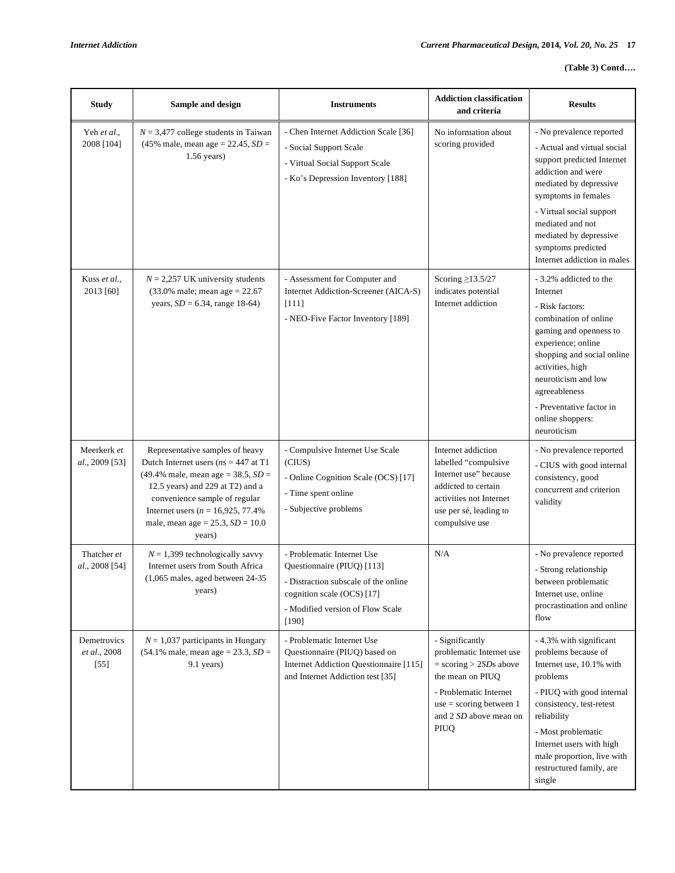## **(Table 3) Contd….**

| <b>Study</b>                              | Sample and design                                                                                                                                                                                                                                                                     | <b>Instruments</b>                                                                                                                                                          | <b>Addiction classification</b><br>and criteria                                                                                                                                        | <b>Results</b>                                                                                                                                                                                                                                                                                                        |
|-------------------------------------------|---------------------------------------------------------------------------------------------------------------------------------------------------------------------------------------------------------------------------------------------------------------------------------------|-----------------------------------------------------------------------------------------------------------------------------------------------------------------------------|----------------------------------------------------------------------------------------------------------------------------------------------------------------------------------------|-----------------------------------------------------------------------------------------------------------------------------------------------------------------------------------------------------------------------------------------------------------------------------------------------------------------------|
| Yeh et al.,<br>2008 [104]<br>Kuss et al., | $N = 3,477$ college students in Taiwan<br>$(45\% \text{ male}, \text{mean age} = 22.45, SD =$<br>$1.56$ years)<br>$N = 2,257$ UK university students                                                                                                                                  | - Chen Internet Addiction Scale [36]<br>- Social Support Scale<br>- Virtual Social Support Scale<br>- Ko's Depression Inventory [188]<br>- Assessment for Computer and      | No information about<br>scoring provided<br>Scoring $\geq$ 13.5/27                                                                                                                     | - No prevalence reported<br>- Actual and virtual social<br>support predicted Internet<br>addiction and were<br>mediated by depressive<br>symptoms in females<br>- Virtual social support<br>mediated and not<br>mediated by depressive<br>symptoms predicted<br>Internet addiction in males<br>- 3.2% addicted to the |
| 2013 [60]                                 | $(33.0\% \text{ male}; \text{mean age} = 22.67)$<br>years, $SD = 6.34$ , range 18-64)                                                                                                                                                                                                 | Internet Addiction-Screener (AICA-S)<br>[111]<br>- NEO-Five Factor Inventory [189]                                                                                          | indicates potential<br>Internet addiction                                                                                                                                              | Internet<br>- Risk factors:<br>combination of online<br>gaming and openness to<br>experience; online<br>shopping and social online<br>activities, high<br>neuroticism and low<br>agreeableness<br>- Preventative factor in<br>online shoppers:<br>neuroticism                                                         |
| Meerkerk et<br>al., 2009 [53]             | Representative samples of heavy<br>Dutch Internet users ( $ns = 447$ at T1<br>$(49.4\%$ male, mean age = 38.5, $SD =$<br>12.5 years) and 229 at T2) and a<br>convenience sample of regular<br>Internet users ( $n = 16,925,77.4\%$<br>male, mean age = $25.3$ , $SD = 10.0$<br>years) | - Compulsive Internet Use Scale<br>(CIUS)<br>- Online Cognition Scale (OCS) [17]<br>- Time spent online<br>- Subjective problems                                            | Internet addiction<br>labelled "compulsive<br>Internet use" because<br>addicted to certain<br>activities not Internet<br>use per sé, leading to<br>compulsive use                      | - No prevalence reported<br>- CIUS with good internal<br>consistency, good<br>concurrent and criterion<br>validity                                                                                                                                                                                                    |
| Thatcher et<br>al., 2008 [54]             | $N = 1,399$ technologically savvy<br>Internet users from South Africa<br>$(1,065$ males, aged between 24-35<br>years)                                                                                                                                                                 | - Problematic Internet Use<br>Questionnaire (PIUQ) [113]<br>- Distraction subscale of the online<br>cognition scale (OCS) [17]<br>- Modified version of Flow Scale<br>[190] | N/A                                                                                                                                                                                    | - No prevalence reported<br>- Strong relationship<br>between problematic<br>Internet use, online<br>procrastination and online<br>flow                                                                                                                                                                                |
| Demetrovics<br>et al., 2008<br>$[55]$     | $N = 1,037$ participants in Hungary<br>$(54.1\% \text{ male}, \text{mean age} = 23.3, SD =$<br>9.1 years)                                                                                                                                                                             | - Problematic Internet Use<br>Questionnaire (PIUQ) based on<br>Internet Addiction Questionnaire [115]<br>and Internet Addiction test [35]                                   | - Significantly<br>problematic Internet use<br>$=$ scoring $>$ 2SDs above<br>the mean on PIUQ<br>- Problematic Internet<br>$use = scoring between 1$<br>and 2 SD above mean on<br>PIUQ | -4.3% with significant<br>problems because of<br>Internet use, 10.1% with<br>problems<br>- PIUQ with good internal<br>consistency, test-retest<br>reliability<br>- Most problematic<br>Internet users with high<br>male proportion, live with<br>restructured family, are<br>single                                   |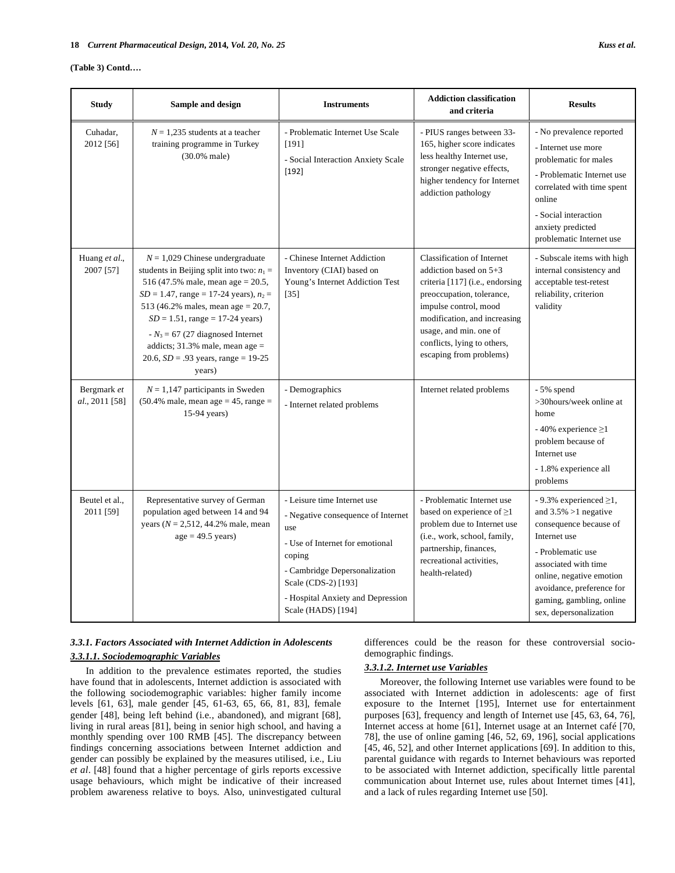### **(Table 3) Contd….**

| <b>Study</b>                  | Sample and design                                                                                                                                                                                                                                                                                                                                                               | <b>Instruments</b>                                                                                                                                                                                                                       | <b>Addiction classification</b><br>and criteria                                                                                                                                                                                                                            | <b>Results</b>                                                                                                                                                                                                                                                 |
|-------------------------------|---------------------------------------------------------------------------------------------------------------------------------------------------------------------------------------------------------------------------------------------------------------------------------------------------------------------------------------------------------------------------------|------------------------------------------------------------------------------------------------------------------------------------------------------------------------------------------------------------------------------------------|----------------------------------------------------------------------------------------------------------------------------------------------------------------------------------------------------------------------------------------------------------------------------|----------------------------------------------------------------------------------------------------------------------------------------------------------------------------------------------------------------------------------------------------------------|
| Cuhadar.<br>2012 [56]         | $N = 1,235$ students at a teacher<br>training programme in Turkey<br>$(30.0%$ male)                                                                                                                                                                                                                                                                                             | - Problematic Internet Use Scale<br>$[191]$<br>- Social Interaction Anxiety Scale<br>$[192]$                                                                                                                                             | - PIUS ranges between 33-<br>165, higher score indicates<br>less healthy Internet use,<br>stronger negative effects,<br>higher tendency for Internet<br>addiction pathology                                                                                                | - No prevalence reported<br>- Internet use more<br>problematic for males<br>- Problematic Internet use<br>correlated with time spent<br>online<br>- Social interaction<br>anxiety predicted<br>problematic Internet use                                        |
| Huang et al.,<br>2007 [57]    | $N = 1,029$ Chinese undergraduate<br>students in Beijing split into two: $n_1$ =<br>516 (47.5% male, mean age = 20.5,<br>$SD = 1.47$ , range = 17-24 years), $n_2$ =<br>513 (46.2% males, mean age = 20.7,<br>$SD = 1.51$ , range = 17-24 years)<br>$-N_3 = 67$ (27 diagnosed Internet<br>addicts; $31.3\%$ male, mean age =<br>20.6, $SD = .93$ years, range = 19-25<br>years) | - Chinese Internet Addiction<br>Inventory (CIAI) based on<br>Young's Internet Addiction Test<br>$[35]$                                                                                                                                   | <b>Classification of Internet</b><br>addiction based on $5+3$<br>criteria [117] (i.e., endorsing<br>preoccupation, tolerance,<br>impulse control, mood<br>modification, and increasing<br>usage, and min. one of<br>conflicts, lying to others,<br>escaping from problems) | - Subscale items with high<br>internal consistency and<br>acceptable test-retest<br>reliability, criterion<br>validity                                                                                                                                         |
| Bergmark et<br>al., 2011 [58] | $N = 1,147$ participants in Sweden<br>$(50.4\%$ male, mean age = 45, range =<br>15-94 years)                                                                                                                                                                                                                                                                                    | - Demographics<br>- Internet related problems                                                                                                                                                                                            | Internet related problems                                                                                                                                                                                                                                                  | $-5\%$ spend<br>>30hours/week online at<br>home<br>- 40% experience $\geq$ 1<br>problem because of<br>Internet use<br>- 1.8% experience all<br>problems                                                                                                        |
| Beutel et al.,<br>2011 [59]   | Representative survey of German<br>population aged between 14 and 94<br>years ( $N = 2,512, 44.2%$ male, mean<br>$age = 49.5 \text{ years}$                                                                                                                                                                                                                                     | - Leisure time Internet use<br>- Negative consequence of Internet<br>use<br>- Use of Internet for emotional<br>coping<br>- Cambridge Depersonalization<br>Scale (CDS-2) [193]<br>- Hospital Anxiety and Depression<br>Scale (HADS) [194] | - Problematic Internet use<br>based on experience of $\geq$ 1<br>problem due to Internet use<br>(i.e., work, school, family,<br>partnership, finances,<br>recreational activities.<br>health-related)                                                                      | - 9.3% experienced $\geq$ 1,<br>and $3.5\% > 1$ negative<br>consequence because of<br>Internet use<br>- Problematic use<br>associated with time<br>online, negative emotion<br>avoidance, preference for<br>gaming, gambling, online<br>sex, depersonalization |

## *3.3.1. Factors Associated with Internet Addiction in Adolescents 3.3.1.1. Sociodemographic Variables*

 In addition to the prevalence estimates reported, the studies have found that in adolescents, Internet addiction is associated with the following sociodemographic variables: higher family income levels [61, 63], male gender [45, 61-63, 65, 66, 81, 83], female gender [48], being left behind (i.e., abandoned), and migrant [68], living in rural areas [81], being in senior high school, and having a monthly spending over 100 RMB [45]. The discrepancy between findings concerning associations between Internet addiction and gender can possibly be explained by the measures utilised, i.e., Liu *et al*. [48] found that a higher percentage of girls reports excessive usage behaviours, which might be indicative of their increased problem awareness relative to boys. Also, uninvestigated cultural differences could be the reason for these controversial sociodemographic findings.

## *3.3.1.2. Internet use Variables*

 Moreover, the following Internet use variables were found to be associated with Internet addiction in adolescents: age of first exposure to the Internet [195], Internet use for entertainment purposes [63], frequency and length of Internet use [45, 63, 64, 76], Internet access at home [61], Internet usage at an Internet café [70, 78], the use of online gaming [46, 52, 69, 196], social applications [45, 46, 52], and other Internet applications [69]. In addition to this, parental guidance with regards to Internet behaviours was reported to be associated with Internet addiction, specifically little parental communication about Internet use, rules about Internet times [41], and a lack of rules regarding Internet use [50].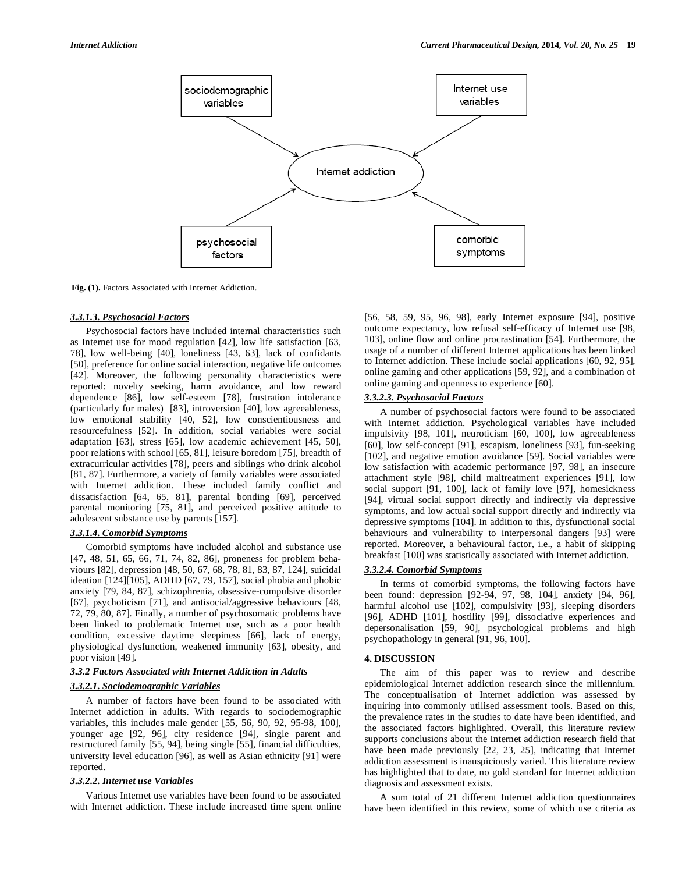

**Fig. (1).** Factors Associated with Internet Addiction.

### *3.3.1.3. Psychosocial Factors*

 Psychosocial factors have included internal characteristics such as Internet use for mood regulation [42], low life satisfaction [63, 78], low well-being [40], loneliness [43, 63], lack of confidants [50], preference for online social interaction, negative life outcomes [42]. Moreover, the following personality characteristics were reported: novelty seeking, harm avoidance, and low reward dependence [86], low self-esteem [78], frustration intolerance (particularly for males) [83], introversion [40], low agreeableness, low emotional stability [40, 52], low conscientiousness and resourcefulness [52]. In addition, social variables were social adaptation [63], stress [65], low academic achievement [45, 50], poor relations with school [65, 81], leisure boredom [75], breadth of extracurricular activities [78], peers and siblings who drink alcohol [81, 87]. Furthermore, a variety of family variables were associated with Internet addiction. These included family conflict and dissatisfaction [64, 65, 81], parental bonding [69], perceived parental monitoring [75, 81], and perceived positive attitude to adolescent substance use by parents [157].

## *3.3.1.4. Comorbid Symptoms*

 Comorbid symptoms have included alcohol and substance use [47, 48, 51, 65, 66, 71, 74, 82, 86], proneness for problem behaviours [82], depression [48, 50, 67, 68, 78, 81, 83, 87, 124], suicidal ideation [124][105], ADHD [67, 79, 157], social phobia and phobic anxiety [79, 84, 87], schizophrenia, obsessive-compulsive disorder [67], psychoticism [71], and antisocial/aggressive behaviours [48, 72, 79, 80, 87]. Finally, a number of psychosomatic problems have been linked to problematic Internet use, such as a poor health condition, excessive daytime sleepiness [66], lack of energy, physiological dysfunction, weakened immunity [63], obesity, and poor vision [49].

## *3.3.2 Factors Associated with Internet Addiction in Adults*

## *3.3.2.1. Sociodemographic Variables*

 A number of factors have been found to be associated with Internet addiction in adults. With regards to sociodemographic variables, this includes male gender [55, 56, 90, 92, 95-98, 100], younger age [92, 96], city residence [94], single parent and restructured family [55, 94], being single [55], financial difficulties, university level education [96], as well as Asian ethnicity [91] were reported.

## *3.3.2.2. Internet use Variables*

 Various Internet use variables have been found to be associated with Internet addiction. These include increased time spent online [56, 58, 59, 95, 96, 98], early Internet exposure [94], positive outcome expectancy, low refusal self-efficacy of Internet use [98, 103], online flow and online procrastination [54]. Furthermore, the usage of a number of different Internet applications has been linked to Internet addiction. These include social applications [60, 92, 95], online gaming and other applications [59, 92], and a combination of online gaming and openness to experience [60].

## *3.3.2.3. Psychosocial Factors*

 A number of psychosocial factors were found to be associated with Internet addiction. Psychological variables have included impulsivity [98, 101], neuroticism [60, 100], low agreeableness [60], low self-concept [91], escapism, loneliness [93], fun-seeking [102], and negative emotion avoidance [59]. Social variables were low satisfaction with academic performance [97, 98], an insecure attachment style [98], child maltreatment experiences [91], low social support [91, 100], lack of family love [97], homesickness [94], virtual social support directly and indirectly via depressive symptoms, and low actual social support directly and indirectly via depressive symptoms [104]. In addition to this, dysfunctional social behaviours and vulnerability to interpersonal dangers [93] were reported. Moreover, a behavioural factor, i.e., a habit of skipping breakfast [100] was statistically associated with Internet addiction.

### *3.3.2.4. Comorbid Symptoms*

 In terms of comorbid symptoms, the following factors have been found: depression [92-94, 97, 98, 104], anxiety [94, 96], harmful alcohol use [102], compulsivity [93], sleeping disorders [96], ADHD [101], hostility [99], dissociative experiences and depersonalisation [59, 90], psychological problems and high psychopathology in general [91, 96, 100].

#### **4. DISCUSSION**

 The aim of this paper was to review and describe epidemiological Internet addiction research since the millennium. The conceptualisation of Internet addiction was assessed by inquiring into commonly utilised assessment tools. Based on this, the prevalence rates in the studies to date have been identified, and the associated factors highlighted. Overall, this literature review supports conclusions about the Internet addiction research field that have been made previously [22, 23, 25], indicating that Internet addiction assessment is inauspiciously varied. This literature review has highlighted that to date, no gold standard for Internet addiction diagnosis and assessment exists.

 A sum total of 21 different Internet addiction questionnaires have been identified in this review, some of which use criteria as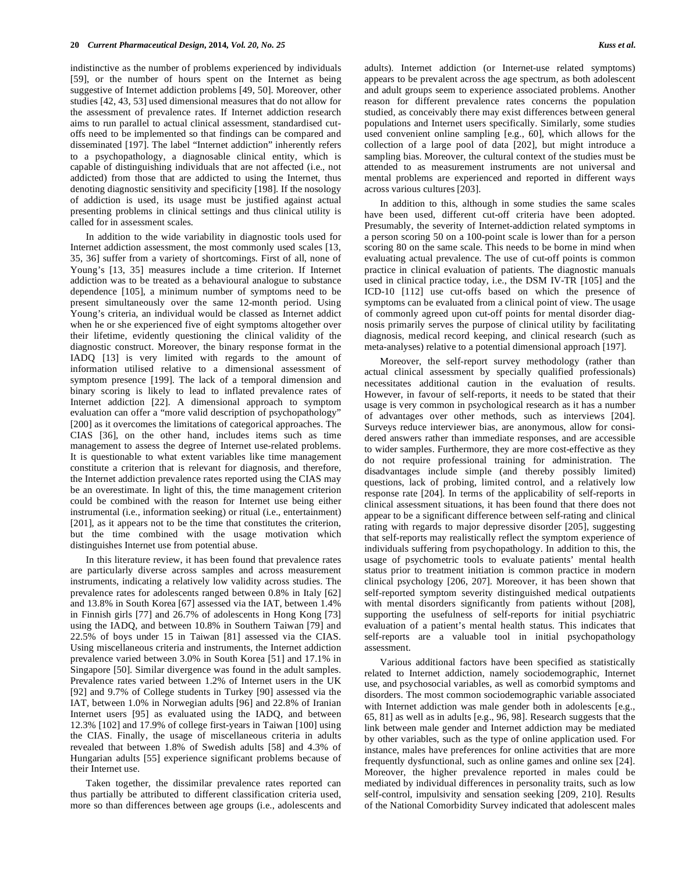indistinctive as the number of problems experienced by individuals [59], or the number of hours spent on the Internet as being suggestive of Internet addiction problems [49, 50]. Moreover, other studies [42, 43, 53] used dimensional measures that do not allow for the assessment of prevalence rates. If Internet addiction research aims to run parallel to actual clinical assessment, standardised cutoffs need to be implemented so that findings can be compared and disseminated [197]. The label "Internet addiction" inherently refers to a psychopathology, a diagnosable clinical entity, which is capable of distinguishing individuals that are not affected (i.e., not addicted) from those that are addicted to using the Internet, thus denoting diagnostic sensitivity and specificity [198]. If the nosology of addiction is used, its usage must be justified against actual presenting problems in clinical settings and thus clinical utility is called for in assessment scales.

 In addition to the wide variability in diagnostic tools used for Internet addiction assessment, the most commonly used scales [13, 35, 36] suffer from a variety of shortcomings. First of all, none of Young's [13, 35] measures include a time criterion. If Internet addiction was to be treated as a behavioural analogue to substance dependence [105], a minimum number of symptoms need to be present simultaneously over the same 12-month period. Using Young's criteria, an individual would be classed as Internet addict when he or she experienced five of eight symptoms altogether over their lifetime, evidently questioning the clinical validity of the diagnostic construct. Moreover, the binary response format in the IADQ [13] is very limited with regards to the amount of information utilised relative to a dimensional assessment of symptom presence [199]. The lack of a temporal dimension and binary scoring is likely to lead to inflated prevalence rates of Internet addiction [22]. A dimensional approach to symptom evaluation can offer a "more valid description of psychopathology" [200] as it overcomes the limitations of categorical approaches. The CIAS [36], on the other hand, includes items such as time management to assess the degree of Internet use-related problems. It is questionable to what extent variables like time management constitute a criterion that is relevant for diagnosis, and therefore, the Internet addiction prevalence rates reported using the CIAS may be an overestimate. In light of this, the time management criterion could be combined with the reason for Internet use being either instrumental (i.e., information seeking) or ritual (i.e., entertainment) [201], as it appears not to be the time that constitutes the criterion, but the time combined with the usage motivation which distinguishes Internet use from potential abuse.

 In this literature review, it has been found that prevalence rates are particularly diverse across samples and across measurement instruments, indicating a relatively low validity across studies. The prevalence rates for adolescents ranged between 0.8% in Italy [62] and 13.8% in South Korea [67] assessed via the IAT, between 1.4% in Finnish girls [77] and 26.7% of adolescents in Hong Kong [73] using the IADQ, and between 10.8% in Southern Taiwan [79] and 22.5% of boys under 15 in Taiwan [81] assessed via the CIAS. Using miscellaneous criteria and instruments, the Internet addiction prevalence varied between 3.0% in South Korea [51] and 17.1% in Singapore [50]. Similar divergence was found in the adult samples. Prevalence rates varied between 1.2% of Internet users in the UK [92] and 9.7% of College students in Turkey [90] assessed via the IAT, between 1.0% in Norwegian adults [96] and 22.8% of Iranian Internet users [95] as evaluated using the IADQ, and between 12.3% [102] and 17.9% of college first-years in Taiwan [100] using the CIAS. Finally, the usage of miscellaneous criteria in adults revealed that between 1.8% of Swedish adults [58] and 4.3% of Hungarian adults [55] experience significant problems because of their Internet use.

 Taken together, the dissimilar prevalence rates reported can thus partially be attributed to different classification criteria used, more so than differences between age groups (i.e., adolescents and adults). Internet addiction (or Internet-use related symptoms) appears to be prevalent across the age spectrum, as both adolescent and adult groups seem to experience associated problems. Another reason for different prevalence rates concerns the population studied, as conceivably there may exist differences between general populations and Internet users specifically. Similarly, some studies used convenient online sampling [e.g., 60], which allows for the collection of a large pool of data [202], but might introduce a sampling bias. Moreover, the cultural context of the studies must be attended to as measurement instruments are not universal and mental problems are experienced and reported in different ways across various cultures [203].

 In addition to this, although in some studies the same scales have been used, different cut-off criteria have been adopted. Presumably, the severity of Internet-addiction related symptoms in a person scoring 50 on a 100-point scale is lower than for a person scoring 80 on the same scale. This needs to be borne in mind when evaluating actual prevalence. The use of cut-off points is common practice in clinical evaluation of patients. The diagnostic manuals used in clinical practice today, i.e., the DSM IV-TR [105] and the ICD-10 [112] use cut-offs based on which the presence of symptoms can be evaluated from a clinical point of view. The usage of commonly agreed upon cut-off points for mental disorder diagnosis primarily serves the purpose of clinical utility by facilitating diagnosis, medical record keeping, and clinical research (such as meta-analyses) relative to a potential dimensional approach [197].

 Moreover, the self-report survey methodology (rather than actual clinical assessment by specially qualified professionals) necessitates additional caution in the evaluation of results. However, in favour of self-reports, it needs to be stated that their usage is very common in psychological research as it has a number of advantages over other methods, such as interviews [204]. Surveys reduce interviewer bias, are anonymous, allow for considered answers rather than immediate responses, and are accessible to wider samples. Furthermore, they are more cost-effective as they do not require professional training for administration. The disadvantages include simple (and thereby possibly limited) questions, lack of probing, limited control, and a relatively low response rate [204]. In terms of the applicability of self-reports in clinical assessment situations, it has been found that there does not appear to be a significant difference between self-rating and clinical rating with regards to major depressive disorder [205], suggesting that self-reports may realistically reflect the symptom experience of individuals suffering from psychopathology. In addition to this, the usage of psychometric tools to evaluate patients' mental health status prior to treatment initiation is common practice in modern clinical psychology [206, 207]. Moreover, it has been shown that self-reported symptom severity distinguished medical outpatients with mental disorders significantly from patients without [208], supporting the usefulness of self-reports for initial psychiatric evaluation of a patient's mental health status. This indicates that self-reports are a valuable tool in initial psychopathology assessment.

 Various additional factors have been specified as statistically related to Internet addiction, namely sociodemographic, Internet use, and psychosocial variables, as well as comorbid symptoms and disorders. The most common sociodemographic variable associated with Internet addiction was male gender both in adolescents [e.g., 65, 81] as well as in adults [e.g., 96, 98]. Research suggests that the link between male gender and Internet addiction may be mediated by other variables, such as the type of online application used. For instance, males have preferences for online activities that are more frequently dysfunctional, such as online games and online sex [24]. Moreover, the higher prevalence reported in males could be mediated by individual differences in personality traits, such as low self-control, impulsivity and sensation seeking [209, 210]. Results of the National Comorbidity Survey indicated that adolescent males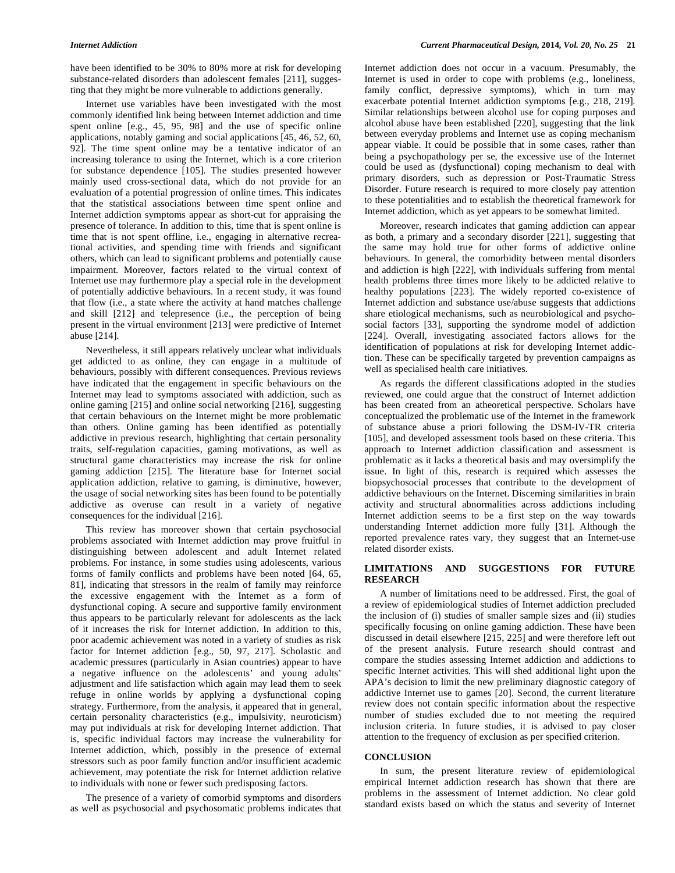have been identified to be 30% to 80% more at risk for developing substance-related disorders than adolescent females [211], suggesting that they might be more vulnerable to addictions generally.

 Internet use variables have been investigated with the most commonly identified link being between Internet addiction and time spent online [e.g., 45, 95, 98] and the use of specific online applications, notably gaming and social applications [45, 46, 52, 60, 92]. The time spent online may be a tentative indicator of an increasing tolerance to using the Internet, which is a core criterion for substance dependence [105]. The studies presented however mainly used cross-sectional data, which do not provide for an evaluation of a potential progression of online times. This indicates that the statistical associations between time spent online and Internet addiction symptoms appear as short-cut for appraising the presence of tolerance. In addition to this, time that is spent online is time that is not spent offline, i.e., engaging in alternative recreational activities, and spending time with friends and significant others, which can lead to significant problems and potentially cause impairment. Moreover, factors related to the virtual context of Internet use may furthermore play a special role in the development of potentially addictive behaviours. In a recent study, it was found that flow (i.e., a state where the activity at hand matches challenge and skill [212] and telepresence (i.e., the perception of being present in the virtual environment [213] were predictive of Internet abuse [214].

 Nevertheless, it still appears relatively unclear what individuals get addicted to as online, they can engage in a multitude of behaviours, possibly with different consequences. Previous reviews have indicated that the engagement in specific behaviours on the Internet may lead to symptoms associated with addiction, such as online gaming [215] and online social networking [216], suggesting that certain behaviours on the Internet might be more problematic than others. Online gaming has been identified as potentially addictive in previous research, highlighting that certain personality traits, self-regulation capacities, gaming motivations, as well as structural game characteristics may increase the risk for online gaming addiction [215]. The literature base for Internet social application addiction, relative to gaming, is diminutive, however, the usage of social networking sites has been found to be potentially addictive as overuse can result in a variety of negative consequences for the individual [216].

 This review has moreover shown that certain psychosocial problems associated with Internet addiction may prove fruitful in distinguishing between adolescent and adult Internet related problems. For instance, in some studies using adolescents, various forms of family conflicts and problems have been noted [64, 65, 81], indicating that stressors in the realm of family may reinforce the excessive engagement with the Internet as a form of dysfunctional coping. A secure and supportive family environment thus appears to be particularly relevant for adolescents as the lack of it increases the risk for Internet addiction. In addition to this, poor academic achievement was noted in a variety of studies as risk factor for Internet addiction [e.g., 50, 97, 217]. Scholastic and academic pressures (particularly in Asian countries) appear to have a negative influence on the adolescents' and young adults' adjustment and life satisfaction which again may lead them to seek refuge in online worlds by applying a dysfunctional coping strategy. Furthermore, from the analysis, it appeared that in general, certain personality characteristics (e.g., impulsivity, neuroticism) may put individuals at risk for developing Internet addiction. That is, specific individual factors may increase the vulnerability for Internet addiction, which, possibly in the presence of external stressors such as poor family function and/or insufficient academic achievement, may potentiate the risk for Internet addiction relative to individuals with none or fewer such predisposing factors.

 The presence of a variety of comorbid symptoms and disorders as well as psychosocial and psychosomatic problems indicates that Internet addiction does not occur in a vacuum. Presumably, the Internet is used in order to cope with problems (e.g., loneliness, family conflict, depressive symptoms), which in turn may exacerbate potential Internet addiction symptoms [e.g., 218, 219]. Similar relationships between alcohol use for coping purposes and alcohol abuse have been established [220], suggesting that the link between everyday problems and Internet use as coping mechanism appear viable. It could be possible that in some cases, rather than being a psychopathology per se, the excessive use of the Internet could be used as (dysfunctional) coping mechanism to deal with primary disorders, such as depression or Post-Traumatic Stress Disorder. Future research is required to more closely pay attention to these potentialities and to establish the theoretical framework for Internet addiction, which as yet appears to be somewhat limited.

 Moreover, research indicates that gaming addiction can appear as both, a primary and a secondary disorder [221], suggesting that the same may hold true for other forms of addictive online behaviours. In general, the comorbidity between mental disorders and addiction is high [222], with individuals suffering from mental health problems three times more likely to be addicted relative to healthy populations [223]. The widely reported co-existence of Internet addiction and substance use/abuse suggests that addictions share etiological mechanisms, such as neurobiological and psychosocial factors [33], supporting the syndrome model of addiction [224]. Overall, investigating associated factors allows for the identification of populations at risk for developing Internet addiction. These can be specifically targeted by prevention campaigns as well as specialised health care initiatives.

 As regards the different classifications adopted in the studies reviewed, one could argue that the construct of Internet addiction has been created from an atheoretical perspective. Scholars have conceptualized the problematic use of the Internet in the framework of substance abuse a priori following the DSM-IV-TR criteria [105], and developed assessment tools based on these criteria. This approach to Internet addiction classification and assessment is problematic as it lacks a theoretical basis and may oversimplify the issue. In light of this, research is required which assesses the biopsychosocial processes that contribute to the development of addictive behaviours on the Internet. Discerning similarities in brain activity and structural abnormalities across addictions including Internet addiction seems to be a first step on the way towards understanding Internet addiction more fully [31]. Although the reported prevalence rates vary, they suggest that an Internet-use related disorder exists.

## **LIMITATIONS AND SUGGESTIONS FOR FUTURE RESEARCH**

 A number of limitations need to be addressed. First, the goal of a review of epidemiological studies of Internet addiction precluded the inclusion of (i) studies of smaller sample sizes and (ii) studies specifically focusing on online gaming addiction. These have been discussed in detail elsewhere [215, 225] and were therefore left out of the present analysis. Future research should contrast and compare the studies assessing Internet addiction and addictions to specific Internet activities. This will shed additional light upon the APA's decision to limit the new preliminary diagnostic category of addictive Internet use to games [20]. Second, the current literature review does not contain specific information about the respective number of studies excluded due to not meeting the required inclusion criteria. In future studies, it is advised to pay closer attention to the frequency of exclusion as per specified criterion.

### **CONCLUSION**

 In sum, the present literature review of epidemiological empirical Internet addiction research has shown that there are problems in the assessment of Internet addiction. No clear gold standard exists based on which the status and severity of Internet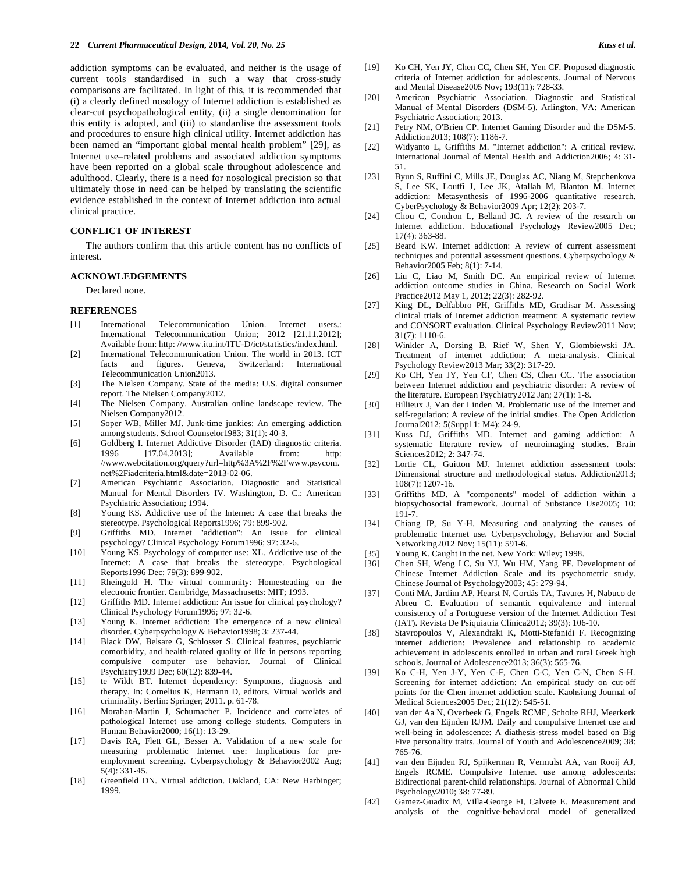addiction symptoms can be evaluated, and neither is the usage of current tools standardised in such a way that cross-study comparisons are facilitated. In light of this, it is recommended that (i) a clearly defined nosology of Internet addiction is established as clear-cut psychopathological entity, (ii) a single denomination for this entity is adopted, and (iii) to standardise the assessment tools and procedures to ensure high clinical utility. Internet addiction has been named an "important global mental health problem" [29], as Internet use–related problems and associated addiction symptoms have been reported on a global scale throughout adolescence and adulthood. Clearly, there is a need for nosological precision so that ultimately those in need can be helped by translating the scientific evidence established in the context of Internet addiction into actual clinical practice.

### **CONFLICT OF INTEREST**

 The authors confirm that this article content has no conflicts of interest.

#### **ACKNOWLEDGEMENTS**

Declared none.

#### **REFERENCES**

- [1] International Telecommunication Union. Internet users.: International Telecommunication Union; 2012 [21.11.2012]; Available from: http: //www.itu.int/ITU-D/ict/statistics/index.html.
- [2] International Telecommunication Union. The world in 2013. ICT facts and figures. Geneva, Switzerland: International Telecommunication Union2013.
- [3] The Nielsen Company. State of the media: U.S. digital consumer report. The Nielsen Company2012.
- [4] The Nielsen Company. Australian online landscape review. The Nielsen Company2012.
- [5] Soper WB, Miller MJ. Junk-time junkies: An emerging addiction among students. School Counselor1983; 31(1): 40-3.
- [6] Goldberg I. Internet Addictive Disorder (IAD) diagnostic criteria. 1996 [17.04.2013]; Available from: http: //www.webcitation.org/query?url=http%3A%2F%2Fwww.psycom. net%2Fiadcriteria.html&date=2013-02-06.
- [7] American Psychiatric Association. Diagnostic and Statistical Manual for Mental Disorders IV. Washington, D. C.: American Psychiatric Association; 1994.
- [8] Young KS. Addictive use of the Internet: A case that breaks the stereotype. Psychological Reports1996; 79: 899-902.
- [9] Griffiths MD. Internet "addiction": An issue for clinical psychology? Clinical Psychology Forum1996; 97: 32-6.
- [10] Young KS. Psychology of computer use: XL. Addictive use of the Internet: A case that breaks the stereotype. Psychological Reports1996 Dec; 79(3): 899-902.
- [11] Rheingold H. The virtual community: Homesteading on the electronic frontier. Cambridge, Massachusetts: MIT; 1993.
- [12] Griffiths MD. Internet addiction: An issue for clinical psychology? Clinical Psychology Forum1996; 97: 32-6.
- [13] Young K. Internet addiction: The emergence of a new clinical disorder. Cyberpsychology & Behavior1998; 3: 237-44.
- [14] Black DW, Belsare G, Schlosser S. Clinical features, psychiatric comorbidity, and health-related quality of life in persons reporting compulsive computer use behavior. Journal of Clinical Psychiatry1999 Dec; 60(12): 839-44.
- [15] te Wildt BT. Internet dependency: Symptoms, diagnosis and therapy. In: Cornelius K, Hermann D, editors. Virtual worlds and criminality. Berlin: Springer; 2011. p. 61-78.
- [16] Morahan-Martin J, Schumacher P. Incidence and correlates of pathological Internet use among college students. Computers in Human Behavior2000; 16(1): 13-29.
- [17] Davis RA, Flett GL, Besser A. Validation of a new scale for measuring problematic Internet use: Implications for preemployment screening. Cyberpsychology & Behavior2002 Aug; 5(4): 331-45.
- [18] Greenfield DN. Virtual addiction. Oakland, CA: New Harbinger; 1999.
- [19] Ko CH, Yen JY, Chen CC, Chen SH, Yen CF. Proposed diagnostic criteria of Internet addiction for adolescents. Journal of Nervous and Mental Disease2005 Nov; 193(11): 728-33.
- [20] American Psychiatric Association. Diagnostic and Statistical Manual of Mental Disorders (DSM-5). Arlington, VA: American Psychiatric Association; 2013.
- [21] Petry NM, O'Brien CP. Internet Gaming Disorder and the DSM-5. Addiction2013; 108(7): 1186-7.
- [22] Widyanto L, Griffiths M. "Internet addiction": A critical review. International Journal of Mental Health and Addiction2006; 4: 31- 51.
- [23] Byun S, Ruffini C, Mills JE, Douglas AC, Niang M, Stepchenkova S, Lee SK, Loutfi J, Lee JK, Atallah M, Blanton M. Internet addiction: Metasynthesis of 1996-2006 quantitative research. CyberPsychology & Behavior2009 Apr; 12(2): 203-7.
- [24] Chou C, Condron L, Belland JC. A review of the research on Internet addiction. Educational Psychology Review2005 Dec; 17(4): 363-88.
- [25] Beard KW. Internet addiction: A review of current assessment techniques and potential assessment questions. Cyberpsychology & Behavior2005 Feb; 8(1): 7-14.
- [26] Liu C, Liao M, Smith DC. An empirical review of Internet addiction outcome studies in China. Research on Social Work Practice2012 May 1, 2012; 22(3): 282-92.
- [27] King DL, Delfabbro PH, Griffiths MD, Gradisar M. Assessing clinical trials of Internet addiction treatment: A systematic review and CONSORT evaluation. Clinical Psychology Review2011 Nov; 31(7): 1110-6.
- [28] Winkler A, Dorsing B, Rief W, Shen Y, Glombiewski JA. Treatment of internet addiction: A meta-analysis. Clinical Psychology Review2013 Mar; 33(2): 317-29.
- [29] Ko CH, Yen JY, Yen CF, Chen CS, Chen CC. The association between Internet addiction and psychiatric disorder: A review of the literature. European Psychiatry2012 Jan; 27(1): 1-8.
- [30] Billieux J, Van der Linden M. Problematic use of the Internet and self-regulation: A review of the initial studies. The Open Addiction Journal2012; 5(Suppl 1: M4): 24-9.
- [31] Kuss DJ, Griffiths MD. Internet and gaming addiction: A systematic literature review of neuroimaging studies. Brain Sciences2012; 2: 347-74.
- [32] Lortie CL, Guitton MJ. Internet addiction assessment tools: Dimensional structure and methodological status. Addiction2013; 108(7): 1207-16.
- [33] Griffiths MD. A "components" model of addiction within a biopsychosocial framework. Journal of Substance Use2005; 10: 191-7.
- [34] Chiang IP, Su Y-H. Measuring and analyzing the causes of problematic Internet use. Cyberpsychology, Behavior and Social Networking2012 Nov; 15(11): 591-6.
- [35] Young K. Caught in the net. New York: Wiley; 1998.
- [36] Chen SH, Weng LC, Su YJ, Wu HM, Yang PF. Development of Chinese Internet Addiction Scale and its psychometric study. Chinese Journal of Psychology2003; 45: 279-94.
- [37] Conti MA, Jardim AP, Hearst N, Cordás TA, Tavares H, Nabuco de Abreu C. Evaluation of semantic equivalence and internal consistency of a Portuguese version of the Internet Addiction Test (IAT). Revista De Psiquiatria Clínica2012; 39(3): 106-10.
- [38] Stavropoulos V, Alexandraki K, Motti-Stefanidi F. Recognizing internet addiction: Prevalence and relationship to academic achievement in adolescents enrolled in urban and rural Greek high schools. Journal of Adolescence2013; 36(3): 565-76.
- [39] Ko C-H, Yen J-Y, Yen C-F, Chen C-C, Yen C-N, Chen S-H. Screening for internet addiction: An empirical study on cut-off points for the Chen internet addiction scale. Kaohsiung Journal of Medical Sciences2005 Dec; 21(12): 545-51.
- [40] van der Aa N, Overbeek G, Engels RCME, Scholte RHJ, Meerkerk GJ, van den Eijnden RJJM. Daily and compulsive Internet use and well-being in adolescence: A diathesis-stress model based on Big Five personality traits. Journal of Youth and Adolescence2009; 38: 765-76.
- [41] van den Eijnden RJ, Spijkerman R, Vermulst AA, van Rooij AJ, Engels RCME. Compulsive Internet use among adolescents: Bidirectional parent-child relationships. Journal of Abnormal Child Psychology2010; 38: 77-89.
- [42] Gamez-Guadix M, Villa-George FI, Calvete E. Measurement and analysis of the cognitive-behavioral model of generalized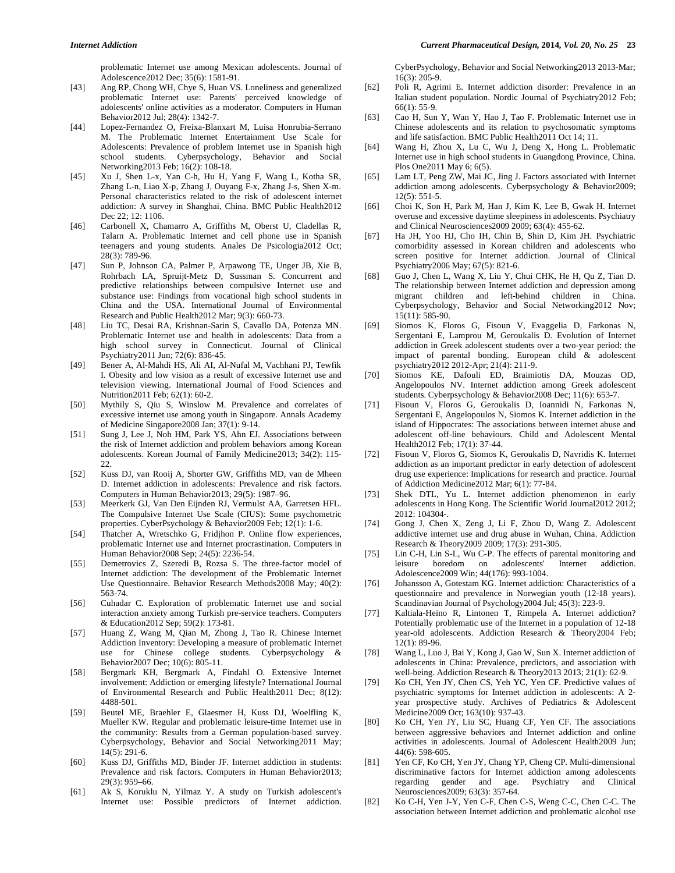problematic Internet use among Mexican adolescents. Journal of Adolescence2012 Dec; 35(6): 1581-91.

- [43] Ang RP, Chong WH, Chye S, Huan VS. Loneliness and generalized problematic Internet use: Parents' perceived knowledge of adolescents' online activities as a moderator. Computers in Human Behavior2012 Jul; 28(4): 1342-7.
- [44] Lopez-Fernandez O, Freixa-Blanxart M, Luisa Honrubia-Serrano M. The Problematic Internet Entertainment Use Scale for Adolescents: Prevalence of problem Internet use in Spanish high school students. Cyberpsychology, Behavior and Social Networking2013 Feb; 16(2): 108-18.
- [45] Xu J, Shen L-x, Yan C-h, Hu H, Yang F, Wang L, Kotha SR, Zhang L-n, Liao X-p, Zhang J, Ouyang F-x, Zhang J-s, Shen X-m. Personal characteristics related to the risk of adolescent internet addiction: A survey in Shanghai, China. BMC Public Health2012 Dec 22: 12: 1106.
- [46] Carbonell X, Chamarro A, Griffiths M, Oberst U, Cladellas R, Talarn A. Problematic Internet and cell phone use in Spanish teenagers and young students. Anales De Psicologia2012 Oct; 28(3): 789-96.
- [47] Sun P, Johnson CA, Palmer P, Arpawong TE, Unger JB, Xie B, Rohrbach LA, Spruijt-Metz D, Sussman S. Concurrent and predictive relationships between compulsive Internet use and substance use: Findings from vocational high school students in China and the USA. International Journal of Environmental Research and Public Health2012 Mar; 9(3): 660-73.
- [48] Liu TC, Desai RA, Krishnan-Sarin S, Cavallo DA, Potenza MN. Problematic Internet use and health in adolescents: Data from a high school survey in Connecticut. Journal of Clinical Psychiatry2011 Jun; 72(6): 836-45.
- [49] Bener A, Al-Mahdi HS, Ali AI, Al-Nufal M, Vachhani PJ, Tewfik I. Obesity and low vision as a result of excessive Internet use and television viewing. International Journal of Food Sciences and Nutrition2011 Feb; 62(1): 60-2.
- [50] Mythily S, Qiu S, Winslow M. Prevalence and correlates of excessive internet use among youth in Singapore. Annals Academy of Medicine Singapore2008 Jan; 37(1): 9-14.
- [51] Sung J, Lee J, Noh HM, Park YS, Ahn EJ. Associations between the risk of Internet addiction and problem behaviors among Korean adolescents. Korean Journal of Family Medicine2013; 34(2): 115- 22.
- [52] Kuss DJ, van Rooij A, Shorter GW, Griffiths MD, van de Mheen D. Internet addiction in adolescents: Prevalence and risk factors. Computers in Human Behavior2013; 29(5): 1987–96.
- [53] Meerkerk GJ, Van Den Eijnden RJ, Vermulst AA, Garretsen HFL. The Compulsive Internet Use Scale (CIUS): Some psychometric properties. CyberPsychology & Behavior2009 Feb; 12(1): 1-6.
- [54] Thatcher A, Wretschko G, Fridjhon P. Online flow experiences, problematic Internet use and Internet procrastination. Computers in Human Behavior2008 Sep; 24(5): 2236-54.
- [55] Demetrovics Z, Szeredi B, Rozsa S. The three-factor model of Internet addiction: The development of the Problematic Internet Use Questionnaire. Behavior Research Methods2008 May; 40(2): 563-74.
- [56] Cuhadar C. Exploration of problematic Internet use and social interaction anxiety among Turkish pre-service teachers. Computers & Education2012 Sep; 59(2): 173-81.
- [57] Huang Z, Wang M, Qian M, Zhong J, Tao R. Chinese Internet Addiction Inventory: Developing a measure of problematic Internet use for Chinese college students. Cyberpsychology & Behavior2007 Dec; 10(6): 805-11.
- [58] Bergmark KH, Bergmark A, Findahl O. Extensive Internet involvement: Addiction or emerging lifestyle? International Journal of Environmental Research and Public Health2011 Dec; 8(12): 4488-501.
- [59] Beutel ME, Braehler E, Glaesmer H, Kuss DJ, Woelfling K, Mueller KW. Regular and problematic leisure-time Internet use in the community: Results from a German population-based survey. Cyberpsychology, Behavior and Social Networking2011 May; 14(5): 291-6.
- [60] Kuss DJ, Griffiths MD, Binder JF. Internet addiction in students: Prevalence and risk factors. Computers in Human Behavior2013; 29(3): 959–66.
- [61] Ak S, Koruklu N, Yilmaz Y. A study on Turkish adolescent's Internet use: Possible predictors of Internet addiction.

CyberPsychology, Behavior and Social Networking2013 2013-Mar; 16(3): 205-9.

- [62] Poli R, Agrimi E. Internet addiction disorder: Prevalence in an Italian student population. Nordic Journal of Psychiatry2012 Feb; 66(1): 55-9.
- [63] Cao H, Sun Y, Wan Y, Hao J, Tao F. Problematic Internet use in Chinese adolescents and its relation to psychosomatic symptoms and life satisfaction. BMC Public Health2011 Oct 14; 11.
- [64] Wang H, Zhou X, Lu C, Wu J, Deng X, Hong L. Problematic Internet use in high school students in Guangdong Province, China. Plos One2011 May 6; 6(5).
- [65] Lam LT, Peng ZW, Mai JC, Jing J. Factors associated with Internet addiction among adolescents. Cyberpsychology & Behavior2009; 12(5): 551-5.
- [66] Choi K, Son H, Park M, Han J, Kim K, Lee B, Gwak H. Internet overuse and excessive daytime sleepiness in adolescents. Psychiatry and Clinical Neurosciences2009 2009; 63(4): 455-62.
- [67] Ha JH, Yoo HJ, Cho IH, Chin B, Shin D, Kim JH. Psychiatric comorbidity assessed in Korean children and adolescents who screen positive for Internet addiction. Journal of Clinical Psychiatry2006 May; 67(5): 821-6.
- [68] Guo J, Chen L, Wang X, Liu Y, Chui CHK, He H, Qu Z, Tian D. The relationship between Internet addiction and depression among migrant children and left-behind children in China. Cyberpsychology, Behavior and Social Networking2012 Nov; 15(11): 585-90.
- [69] Siomos K, Floros G, Fisoun V, Evaggelia D, Farkonas N, Sergentani E, Lamprou M, Geroukalis D. Evolution of Internet addiction in Greek adolescent students over a two-year period: the impact of parental bonding. European child & adolescent psychiatry2012 2012-Apr; 21(4): 211-9.
- [70] Siomos KE, Dafouli ED, Braimiotis DA, Mouzas OD, Angelopoulos NV. Internet addiction among Greek adolescent students. Cyberpsychology & Behavior2008 Dec; 11(6): 653-7.
- [71] Fisoun V, Floros G, Geroukalis D, Ioannidi N, Farkonas N, Sergentani E, Angelopoulos N, Siomos K. Internet addiction in the island of Hippocrates: The associations between internet abuse and adolescent off-line behaviours. Child and Adolescent Mental Health2012 Feb; 17(1): 37-44.
- [72] Fisoun V, Floros G, Siomos K, Geroukalis D, Navridis K. Internet addiction as an important predictor in early detection of adolescent drug use experience: Implications for research and practice. Journal of Addiction Medicine2012 Mar; 6(1): 77-84.
- [73] Shek DTL, Yu L. Internet addiction phenomenon in early adolescents in Hong Kong. The Scientific World Journal2012 2012; 2012: 104304-.
- [74] Gong J, Chen X, Zeng J, Li F, Zhou D, Wang Z. Adolescent addictive internet use and drug abuse in Wuhan, China. Addiction Research & Theory2009 2009; 17(3): 291-305.
- [75] Lin C-H, Lin S-L, Wu C-P. The effects of parental monitoring and leisure boredom on adolescents' Internet addiction. Adolescence2009 Win; 44(176): 993-1004.
- [76] Johansson A, Gotestam KG. Internet addiction: Characteristics of a questionnaire and prevalence in Norwegian youth (12-18 years). Scandinavian Journal of Psychology2004 Jul; 45(3): 223-9.
- [77] Kaltiala-Heino R, Lintonen T, Rimpela A. Internet addiction? Potentially problematic use of the Internet in a population of 12-18 year-old adolescents. Addiction Research & Theory2004 Feb; 12(1): 89-96.
- [78] Wang L, Luo J, Bai Y, Kong J, Gao W, Sun X. Internet addiction of adolescents in China: Prevalence, predictors, and association with well-being. Addiction Research & Theory2013 2013; 21(1): 62-9.
- [79] Ko CH, Yen JY, Chen CS, Yeh YC, Yen CF. Predictive values of psychiatric symptoms for Internet addiction in adolescents: A 2 year prospective study. Archives of Pediatrics & Adolescent Medicine2009 Oct; 163(10): 937-43.
- [80] Ko CH, Yen JY, Liu SC, Huang CF, Yen CF. The associations between aggressive behaviors and Internet addiction and online activities in adolescents. Journal of Adolescent Health2009 Jun; 44(6): 598-605.
- [81] Yen CF, Ko CH, Yen JY, Chang YP, Cheng CP. Multi-dimensional discriminative factors for Internet addiction among adolescents regarding gender and age. Psychiatry and Clinical Neurosciences2009; 63(3): 357-64.
- [82] Ko C-H, Yen J-Y, Yen C-F, Chen C-S, Weng C-C, Chen C-C. The association between Internet addiction and problematic alcohol use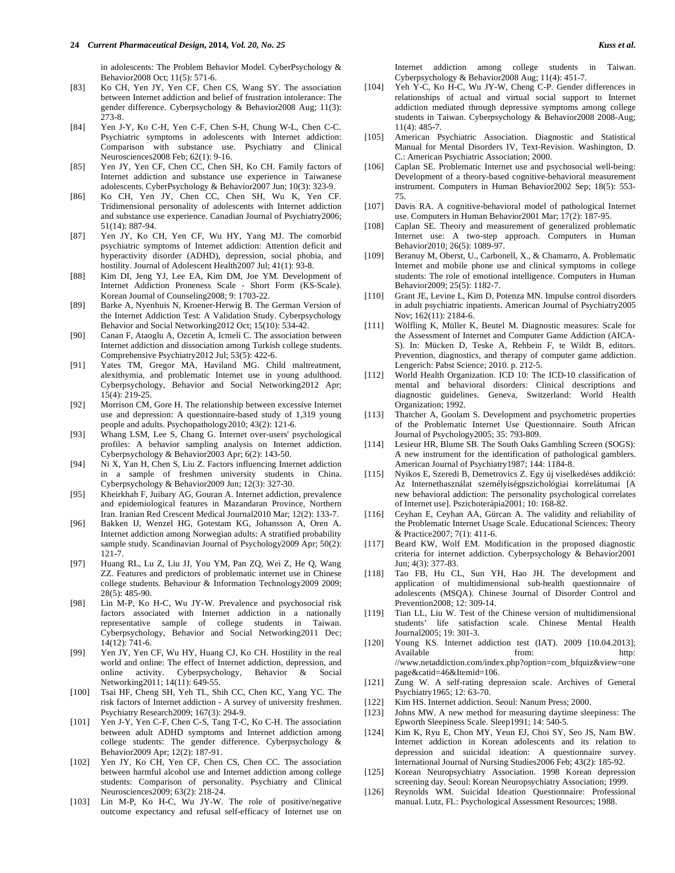in adolescents: The Problem Behavior Model. CyberPsychology & Behavior2008 Oct; 11(5): 571-6.

- [83] Ko CH, Yen JY, Yen CF, Chen CS, Wang SY. The association between Internet addiction and belief of frustration intolerance: The gender difference. Cyberpsychology & Behavior2008 Aug; 11(3): 273-8.
- [84] Yen J-Y, Ko C-H, Yen C-F, Chen S-H, Chung W-L, Chen C-C. Psychiatric symptoms in adolescents with Internet addiction: Comparison with substance use. Psychiatry and Clinical Neurosciences2008 Feb; 62(1): 9-16.
- [85] Yen JY, Yen CF, Chen CC, Chen SH, Ko CH. Family factors of Internet addiction and substance use experience in Taiwanese adolescents. CyberPsychology & Behavior2007 Jun; 10(3): 323-9.
- [86] Ko CH, Yen JY, Chen CC, Chen SH, Wu K, Yen CF. Tridimensional personality of adolescents with Internet addiction and substance use experience. Canadian Journal of Psychiatry2006; 51(14): 887-94.
- [87] Yen JY, Ko CH, Yen CF, Wu HY, Yang MJ. The comorbid psychiatric symptoms of Internet addiction: Attention deficit and hyperactivity disorder (ADHD), depression, social phobia, and hostility. Journal of Adolescent Health2007 Jul; 41(1): 93-8.
- [88] Kim DI, Jeng YJ, Lee EA, Kim DM, Joe YM. Development of Internet Addiction Proneness Scale - Short Form (KS-Scale). Korean Journal of Counseling2008; 9: 1703-22.
- [89] Barke A, Nyenhuis N, Kroener-Herwig B. The German Version of the Internet Addiction Test: A Validation Study. Cyberpsychology Behavior and Social Networking2012 Oct; 15(10): 534-42.
- [90] Canan F, Ataoglu A, Ozcetin A, Icmeli C. The association between Internet addiction and dissociation among Turkish college students. Comprehensive Psychiatry2012 Jul; 53(5): 422-6.
- [91] Yates TM, Gregor MA, Haviland MG. Child maltreatment, alexithymia, and problematic Internet use in young adulthood. Cyberpsychology, Behavior and Social Networking2012 Apr; 15(4): 219-25.
- [92] Morrison CM, Gore H. The relationship between excessive Internet use and depression: A questionnaire-based study of 1,319 young people and adults. Psychopathology2010; 43(2): 121-6.
- [93] Whang LSM, Lee S, Chang G. Internet over-users' psychological profiles: A behavior sampling analysis on Internet addiction. Cyberpsychology & Behavior2003 Apr; 6(2): 143-50.
- [94] Ni X, Yan H, Chen S, Liu Z. Factors influencing Internet addiction in a sample of freshmen university students in China. Cyberpsychology & Behavior2009 Jun; 12(3): 327-30.
- [95] Kheirkhah F, Juibary AG, Gouran A. Internet addiction, prevalence and epidemiological features in Mazandaran Province, Northern Iran. Iranian Red Crescent Medical Journal2010 Mar; 12(2): 133-7.
- [96] Bakken IJ, Wenzel HG, Gotestam KG, Johansson A, Oren A. Internet addiction among Norwegian adults: A stratified probability sample study. Scandinavian Journal of Psychology2009 Apr; 50(2): 121-7.
- [97] Huang RL, Lu Z, Liu JJ, You YM, Pan ZQ, Wei Z, He Q, Wang ZZ. Features and predictors of problematic internet use in Chinese college students. Behaviour & Information Technology2009 2009; 28(5): 485-90.
- [98] Lin M-P, Ko H-C, Wu JY-W. Prevalence and psychosocial risk factors associated with Internet addiction in a nationally representative sample of college students in Taiwan. Cyberpsychology, Behavior and Social Networking2011 Dec; 14(12): 741-6.
- [99] Yen JY, Yen CF, Wu HY, Huang CJ, Ko CH. Hostility in the real world and online: The effect of Internet addiction, depression, and online activity. Cyberpsychology, Behavior & Social Networking2011; 14(11): 649-55.
- [100] Tsai HF, Cheng SH, Yeh TL, Shih CC, Chen KC, Yang YC. The risk factors of Internet addiction - A survey of university freshmen. Psychiatry Research2009; 167(3): 294-9.
- [101] Yen J-Y, Yen C-F, Chen C-S, Tang T-C, Ko C-H. The association between adult ADHD symptoms and Internet addiction among college students: The gender difference. Cyberpsychology & Behavior2009 Apr; 12(2): 187-91.
- [102] Yen JY, Ko CH, Yen CF, Chen CS, Chen CC. The association between harmful alcohol use and Internet addiction among college students: Comparison of personality. Psychiatry and Clinical Neurosciences2009; 63(2): 218-24.
- [103] Lin M-P, Ko H-C, Wu JY-W. The role of positive/negative outcome expectancy and refusal self-efficacy of Internet use on

Internet addiction among college students in Taiwan. Cyberpsychology & Behavior2008 Aug; 11(4): 451-7.

- [104] Yeh Y-C, Ko H-C, Wu JY-W, Cheng C-P. Gender differences in relationships of actual and virtual social support to Internet addiction mediated through depressive symptoms among college students in Taiwan. Cyberpsychology & Behavior2008 2008-Aug; 11(4): 485-7.
- [105] American Psychiatric Association. Diagnostic and Statistical Manual for Mental Disorders IV, Text-Revision. Washington, D. C.: American Psychiatric Association; 2000.
- [106] Caplan SE. Problematic Internet use and psychosocial well-being: Development of a theory-based cognitive-behavioral measurement instrument. Computers in Human Behavior2002 Sep; 18(5): 553- 75.
- [107] Davis RA. A cognitive-behavioral model of pathological Internet use. Computers in Human Behavior2001 Mar; 17(2): 187-95.
- [108] Caplan SE. Theory and measurement of generalized problematic Internet use: A two-step approach. Computers in Human Behavior2010; 26(5): 1089-97.
- [109] Beranuy M, Oberst, U., Carbonell, X., & Chamarro, A. Problematic Internet and mobile phone use and clinical symptoms in college students: The role of emotional intelligence. Computers in Human Behavior2009; 25(5): 1182-7.
- [110] Grant JE, Levine L, Kim D, Potenza MN. Impulse control disorders in adult psychiatric inpatients. American Journal of Psychiatry2005 Nov; 162(11): 2184-6.
- [111] Wölfling K, Müller K, Beutel M. Diagnostic measures: Scale for the Assessment of Internet and Computer Game Addiction (AICA-S). In: Mücken D, Teske A, Rehbein F, te Wildt B, editors. Prevention, diagnostics, and therapy of computer game addiction. Lengerich: Pabst Science; 2010. p. 212-5.
- [112] World Health Organization. ICD 10: The ICD-10 classification of mental and behavioral disorders: Clinical descriptions and diagnostic guidelines. Geneva, Switzerland: World Health Organization; 1992.
- [113] Thatcher A, Goolam S. Development and psychometric properties of the Problematic Internet Use Questionnaire. South African Journal of Psychology2005; 35: 793-809.
- [114] Lesieur HR, Blume SB. The South Oaks Gambling Screen (SOGS): A new instrument for the identification of pathological gamblers. American Journal of Psychiatry1987; 144: 1184-8.
- [115] Nyikos E, Szeredi B, Demetrovics Z. Egy új viselkedéses addikció: Az Internethasználat személyiségpszichológiai korrelátumai [A new behavioral addiction: The personality psychological correlates of Internet use]. Pszichoterápia2001; 10: 168-82.
- [116] Ceyhan E, Ceyhan AA, Gürcan A. The validity and reliability of the Problematic Internet Usage Scale. Educational Sciences: Theory & Practice2007; 7(1): 411-6.
- [117] Beard KW, Wolf EM. Modification in the proposed diagnostic criteria for internet addiction. Cyberpsychology & Behavior2001 Jun; 4(3): 377-83.
- [118] Tao FB, Hu CL, Sun YH, Hao JH. The development and application of multidimensional sub-health questionnaire of adolescents (MSQA). Chinese Journal of Disorder Control and Prevention2008; 12: 309-14.
- [119] Tian LL, Liu W. Test of the Chinese version of multidimensional students' life satisfaction scale. Chinese Mental Health Journal2005; 19: 301-3.
- [120] Young KS. Internet addiction test (IAT). 2009 [10.04.2013]; Available from: http: //www.netaddiction.com/index.php?option=com\_bfquiz&view=one page&catid=46&Itemid=106.
- [121] Zung W. A self-rating depression scale. Archives of General Psychiatry1965; 12: 63-70.
- [122] Kim HS. Internet addiction. Seoul: Nanum Press; 2000.
- [123] Johns MW. A new method for measuring daytime sleepiness: The Epworth Sleepiness Scale. Sleep1991; 14: 540-5.
- [124] Kim K, Ryu E, Chon MY, Yeun EJ, Choi SY, Seo JS, Nam BW. Internet addiction in Korean adolescents and its relation to depression and suicidal ideation: A questionnaire survey. International Journal of Nursing Studies2006 Feb; 43(2): 185-92.
- [125] Korean Neuropsychiatry Association. 1998 Korean depression screening day. Seoul: Korean Neuropsychiatry Association; 1999.
- [126] Reynolds WM. Suicidal Ideation Questionnaire: Professional manual. Lutz, FL: Psychological Assessment Resources; 1988.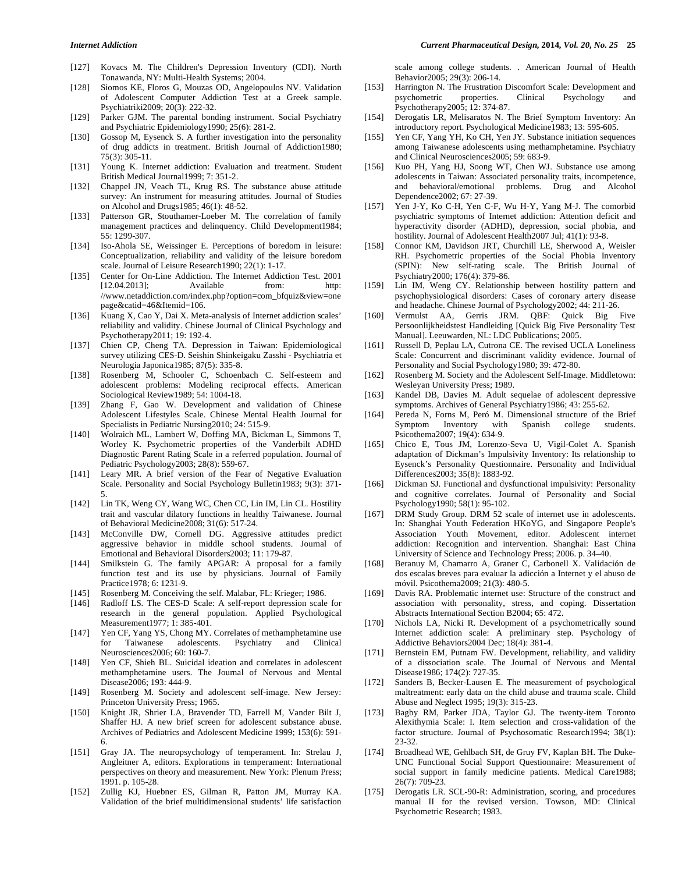- [127] Kovacs M. The Children's Depression Inventory (CDI). North Tonawanda, NY: Multi-Health Systems; 2004.
- [128] Siomos KE, Floros G, Mouzas OD, Angelopoulos NV. Validation of Adolescent Computer Addiction Test at a Greek sample. Psychiatriki2009; 20(3): 222-32.
- [129] Parker GJM. The parental bonding instrument. Social Psychiatry and Psychiatric Epidemiology1990; 25(6): 281-2.
- [130] Gossop M, Eysenck S. A further investigation into the personality of drug addicts in treatment. British Journal of Addiction1980; 75(3): 305-11.
- [131] Young K. Internet addiction: Evaluation and treatment. Student British Medical Journal1999; 7: 351-2.
- [132] Chappel JN, Veach TL, Krug RS. The substance abuse attitude survey: An instrument for measuring attitudes. Journal of Studies on Alcohol and Drugs1985; 46(1): 48-52.
- [133] Patterson GR, Stouthamer-Loeber M. The correlation of family management practices and delinquency. Child Development1984; 55: 1299-307.
- [134] Iso-Ahola SE, Weissinger E. Perceptions of boredom in leisure: Conceptualization, reliability and validity of the leisure boredom scale. Journal of Leisure Research1990; 22(1): 1-17.
- [135] Center for On-Line Addiction. The Internet Addiction Test. 2001 [12.04.2013]: Available from: http: //www.netaddiction.com/index.php?option=com\_bfquiz&view=one page&catid=46&Itemid=106.
- [136] Kuang X, Cao Y, Dai X. Meta-analysis of Internet addiction scales' reliability and validity. Chinese Journal of Clinical Psychology and Psychotherapy2011; 19: 192-4.
- [137] Chien CP, Cheng TA. Depression in Taiwan: Epidemiological survey utilizing CES-D. Seishin Shinkeigaku Zasshi - Psychiatria et Neurologia Japonica1985; 87(5): 335-8.
- [138] Rosenberg M, Schooler C, Schoenbach C. Self-esteem and adolescent problems: Modeling reciprocal effects. American Sociological Review1989; 54: 1004-18.
- [139] Zhang F, Gao W. Development and validation of Chinese Adolescent Lifestyles Scale. Chinese Mental Health Journal for Specialists in Pediatric Nursing2010; 24: 515-9.
- [140] Wolraich ML, Lambert W, Doffing MA, Bickman L, Simmons T, Worley K. Psychometric properties of the Vanderbilt ADHD Diagnostic Parent Rating Scale in a referred population. Journal of Pediatric Psychology2003; 28(8): 559-67.
- [141] Leary MR. A brief version of the Fear of Negative Evaluation Scale. Personality and Social Psychology Bulletin1983; 9(3): 371- 5.
- [142] Lin TK, Weng CY, Wang WC, Chen CC, Lin IM, Lin CL. Hostility trait and vascular dilatory functions in healthy Taiwanese. Journal of Behavioral Medicine2008; 31(6): 517-24.
- [143] McConville DW, Cornell DG. Aggressive attitudes predict aggressive behavior in middle school students. Journal of Emotional and Behavioral Disorders2003; 11: 179-87.
- [144] Smilkstein G. The family APGAR: A proposal for a family function test and its use by physicians. Journal of Family Practice1978; 6: 1231-9.
- [145] Rosenberg M. Conceiving the self. Malabar, FL: Krieger; 1986.
- [146] Radloff LS. The CES-D Scale: A self-report depression scale for research in the general population. Applied Psychological Measurement1977; 1: 385-401.
- [147] Yen CF, Yang YS, Chong MY. Correlates of methamphetamine use for Taiwanese adolescents. Psychiatry and Clinical Neurosciences2006; 60: 160-7.
- [148] Yen CF, Shieh BL. Suicidal ideation and correlates in adolescent methamphetamine users. The Journal of Nervous and Mental Disease2006; 193: 444-9.
- [149] Rosenberg M. Society and adolescent self-image. New Jersey: Princeton University Press; 1965.
- [150] Knight JR, Shrier LA, Bravender TD, Farrell M, Vander Bilt J, Shaffer HJ. A new brief screen for adolescent substance abuse. Archives of Pediatrics and Adolescent Medicine 1999; 153(6): 591- 6.
- [151] Gray JA. The neuropsychology of temperament. In: Strelau J, Angleitner A, editors. Explorations in temperament: International perspectives on theory and measurement. New York: Plenum Press; 1991. p. 105-28.
- [152] Zullig KJ, Huebner ES, Gilman R, Patton JM, Murray KA. Validation of the brief multidimensional students' life satisfaction

scale among college students. . American Journal of Health Behavior2005; 29(3): 206-14.

- [153] Harrington N. The Frustration Discomfort Scale: Development and psychometric properties. Clinical Psychology and Psychotherapy2005; 12: 374-87.
- [154] Derogatis LR, Melisaratos N. The Brief Symptom Inventory: An introductory report. Psychological Medicine1983; 13: 595-605.
- [155] Yen CF, Yang YH, Ko CH, Yen JY. Substance initiation sequences among Taiwanese adolescents using methamphetamine. Psychiatry and Clinical Neurosciences2005; 59: 683-9.
- [156] Kuo PH, Yang HJ, Soong WT, Chen WJ. Substance use among adolescents in Taiwan: Associated personality traits, incompetence, and behavioral/emotional problems. Drug and Alcohol Dependence2002; 67: 27-39.
- [157] Yen J-Y, Ko C-H, Yen C-F, Wu H-Y, Yang M-J. The comorbid psychiatric symptoms of Internet addiction: Attention deficit and hyperactivity disorder (ADHD), depression, social phobia, and hostility. Journal of Adolescent Health2007 Jul; 41(1): 93-8.
- [158] Connor KM, Davidson JRT, Churchill LE, Sherwood A, Weisler RH. Psychometric properties of the Social Phobia Inventory (SPIN): New self-rating scale. The British Journal of Psychiatry2000; 176(4): 379-86.
- [159] Lin IM, Weng CY. Relationship between hostility pattern and psychophysiological disorders: Cases of coronary artery disease and headache. Chinese Journal of Psychology2002; 44: 211-26.
- [160] Vermulst AA, Gerris JRM. QBF: Quick Big Five Persoonlijkheidstest Handleiding [Quick Big Five Personality Test Manual]. Leeuwarden, NL: LDC Publications; 2005.
- [161] Russell D, Peplau LA, Cutrona CE. The revised UCLA Loneliness Scale: Concurrent and discriminant validity evidence. Journal of Personality and Social Psychology1980; 39: 472-80.
- [162] Rosenberg M. Society and the Adolescent Self-Image. Middletown: Wesleyan University Press; 1989.
- [163] Kandel DB, Davies M. Adult sequelae of adolescent depressive symptoms. Archives of General Psychiatry1986; 43: 255-62.
- [164] Pereda N, Forns M, Peró M. Dimensional structure of the Brief Symptom Inventory with Spanish college students. Psicothema2007; 19(4): 634-9.
- [165] Chico E, Tous JM, Lorenzo-Seva U, Vigil-Colet A. Spanish adaptation of Dickman's Impulsivity Inventory: Its relationship to Eysenck's Personality Questionnaire. Personality and Individual Differences2003; 35(8): 1883-92.
- [166] Dickman SJ. Functional and dysfunctional impulsivity: Personality and cognitive correlates. Journal of Personality and Social Psychology1990; 58(1): 95-102.
- [167] DRM Study Group. DRM 52 scale of internet use in adolescents. In: Shanghai Youth Federation HKoYG, and Singapore People's Association Youth Movement, editor. Adolescent internet addiction: Recognition and intervention. Shanghai: East China University of Science and Technology Press; 2006. p. 34–40.
- [168] Beranuy M, Chamarro A, Graner C, Carbonell X. Validación de dos escalas breves para evaluar la adicción a Internet y el abuso de móvil. Psicothema2009; 21(3): 480-5.
- [169] Davis RA. Problematic internet use: Structure of the construct and association with personality, stress, and coping. Dissertation Abstracts International Section B2004; 65: 472.
- [170] Nichols LA, Nicki R. Development of a psychometrically sound Internet addiction scale: A preliminary step. Psychology of Addictive Behaviors2004 Dec; 18(4): 381-4.
- [171] Bernstein EM, Putnam FW. Development, reliability, and validity of a dissociation scale. The Journal of Nervous and Mental Disease1986; 174(2): 727-35.
- [172] Sanders B, Becker-Lausen E. The measurement of psychological maltreatment: early data on the child abuse and trauma scale. Child Abuse and Neglect 1995; 19(3): 315-23.
- [173] Bagby RM, Parker JDA, Taylor GJ. The twenty-item Toronto Alexithymia Scale: I. Item selection and cross-validation of the factor structure. Journal of Psychosomatic Research1994; 38(1): 23-32.
- [174] Broadhead WE, Gehlbach SH, de Gruy FV, Kaplan BH. The Duke-UNC Functional Social Support Questionnaire: Measurement of social support in family medicine patients. Medical Care1988; 26(7): 709-23.
- [175] Derogatis LR. SCL-90-R: Administration, scoring, and procedures manual II for the revised version. Towson, MD: Clinical Psychometric Research; 1983.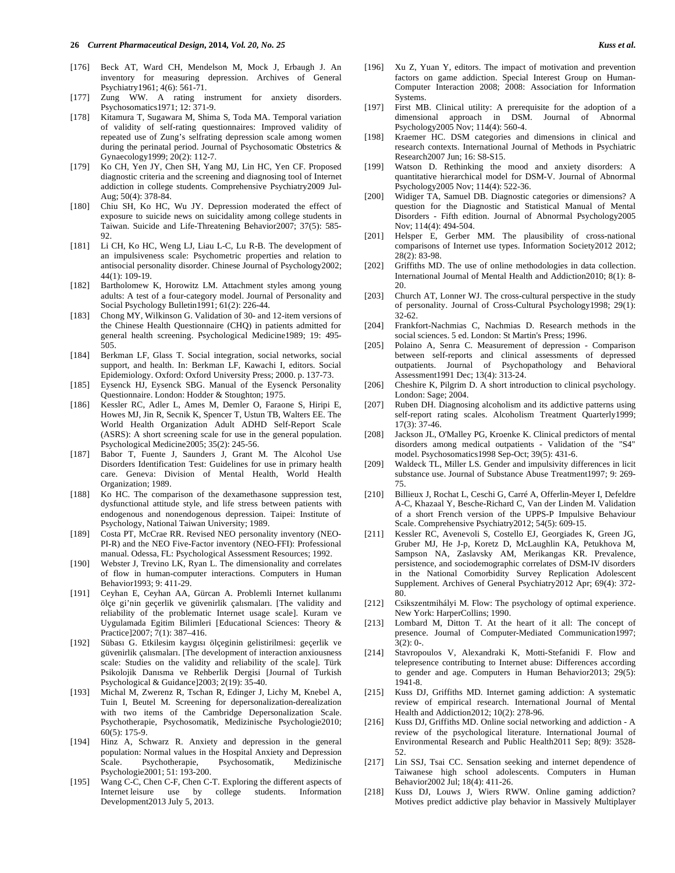- [176] Beck AT, Ward CH, Mendelson M, Mock J, Erbaugh J. An inventory for measuring depression. Archives of General Psychiatry1961; 4(6): 561-71.
- [177] Zung WW. A rating instrument for anxiety disorders. Psychosomatics1971; 12: 371-9.
- [178] Kitamura T, Sugawara M, Shima S, Toda MA. Temporal variation of validity of self-rating questionnaires: Improved validity of repeated use of Zung's selfrating depression scale among women during the perinatal period. Journal of Psychosomatic Obstetrics & Gynaecology1999; 20(2): 112-7.
- [179] Ko CH, Yen JY, Chen SH, Yang MJ, Lin HC, Yen CF. Proposed diagnostic criteria and the screening and diagnosing tool of Internet addiction in college students. Comprehensive Psychiatry2009 Jul-Aug; 50(4): 378-84.
- [180] Chiu SH, Ko HC, Wu JY. Depression moderated the effect of exposure to suicide news on suicidality among college students in Taiwan. Suicide and Life-Threatening Behavior2007; 37(5): 585-  $92.$
- [181] Li CH, Ko HC, Weng LJ, Liau L-C, Lu R-B. The development of an impulsiveness scale: Psychometric properties and relation to antisocial personality disorder. Chinese Journal of Psychology2002; 44(1): 109-19.
- [182] Bartholomew K, Horowitz LM. Attachment styles among young adults: A test of a four-category model. Journal of Personality and Social Psychology Bulletin1991; 61(2): 226-44.
- [183] Chong MY, Wilkinson G. Validation of 30- and 12-item versions of the Chinese Health Questionnaire (CHQ) in patients admitted for general health screening. Psychological Medicine1989; 19: 495- 505.
- [184] Berkman LF, Glass T. Social integration, social networks, social support, and health. In: Berkman LF, Kawachi I, editors. Social Epidemiology. Oxford: Oxford University Press; 2000. p. 137-73.
- [185] Eysenck HJ, Eysenck SBG. Manual of the Eysenck Personality Questionnaire. London: Hodder & Stoughton; 1975.
- [186] Kessler RC, Adler L, Ames M, Demler O, Faraone S, Hiripi E, Howes MJ, Jin R, Secnik K, Spencer T, Ustun TB, Walters EE. The World Health Organization Adult ADHD Self-Report Scale (ASRS): A short screening scale for use in the general population. Psychological Medicine2005; 35(2): 245-56.
- [187] Babor T, Fuente J, Saunders J, Grant M. The Alcohol Use Disorders Identification Test: Guidelines for use in primary health care. Geneva: Division of Mental Health, World Health Organization; 1989.
- [188] Ko HC. The comparison of the dexamethasone suppression test, dysfunctional attitude style, and life stress between patients with endogenous and nonendogenous depression. Taipei: Institute of Psychology, National Taiwan University; 1989.
- [189] Costa PT, McCrae RR. Revised NEO personality inventory (NEO-PI-R) and the NEO Five-Factor inventory (NEO-FFI): Professional manual. Odessa, FL: Psychological Assessment Resources; 1992.
- [190] Webster J, Trevino LK, Ryan L. The dimensionality and correlates of flow in human-computer interactions. Computers in Human Behavior1993; 9: 411-29.
- [191] Ceyhan E, Ceyhan AA, Gürcan A. Problemli Internet kullanımı ölçe gi'nin geçerlik ve güvenirlik çalısmaları. [The validity and reliability of the problematic Internet usage scale]. Kuram ve Uygulamada Egitim Bilimleri [Educational Sciences: Theory & Practice]2007; 7(1): 387–416.
- [192] Sübası G. Etkilesim kaygısı ölçeginin gelistirilmesi: geçerlik ve güvenirlik çalısmaları. [The development of interaction anxiousness scale: Studies on the validity and reliability of the scale]. Türk Psikolojik Danısma ve Rehberlik Dergisi [Journal of Turkish Psychological & Guidance]2003; 2(19): 35-40.
- [193] Michal M, Zwerenz R, Tschan R, Edinger J, Lichy M, Knebel A, Tuin I, Beutel M. Screening for depersonalization-derealization with two items of the Cambridge Depersonalization Scale. Psychotherapie, Psychosomatik, Medizinische Psychologie2010; 60(5): 175-9.
- [194] Hinz A, Schwarz R. Anxiety and depression in the general population: Normal values in the Hospital Anxiety and Depression Scale. Psychotherapie, Psychosomatik, Medizinische Psychologie2001; 51: 193-200.
- [195] Wang C-C, Chen C-F, Chen C-T. Exploring the different aspects of Internet leisure use by college students. Information Development2013 July 5, 2013.
- [196] Xu Z, Yuan Y, editors. The impact of motivation and prevention factors on game addiction. Special Interest Group on Human-Computer Interaction 2008; 2008: Association for Information Systems.
- [197] First MB. Clinical utility: A prerequisite for the adoption of a dimensional approach in DSM. Journal of Abnormal Psychology2005 Nov; 114(4): 560-4.
- [198] Kraemer HC. DSM categories and dimensions in clinical and research contexts. International Journal of Methods in Psychiatric Research2007 Jun; 16: S8-S15.
- [199] Watson D. Rethinking the mood and anxiety disorders: A quantitative hierarchical model for DSM-V. Journal of Abnormal Psychology2005 Nov; 114(4): 522-36.
- [200] Widiger TA, Samuel DB. Diagnostic categories or dimensions? A question for the Diagnostic and Statistical Manual of Mental Disorders - Fifth edition. Journal of Abnormal Psychology2005 Nov; 114(4): 494-504.
- [201] Helsper E, Gerber MM. The plausibility of cross-national comparisons of Internet use types. Information Society2012 2012; 28(2): 83-98.
- [202] Griffiths MD. The use of online methodologies in data collection. International Journal of Mental Health and Addiction2010; 8(1): 8- 20.
- [203] Church AT, Lonner WJ. The cross-cultural perspective in the study of personality. Journal of Cross-Cultural Psychology1998; 29(1): 32-62.
- [204] Frankfort-Nachmias C, Nachmias D. Research methods in the social sciences. 5 ed. London: St Martin's Press; 1996.
- [205] Polaino A, Senra C. Measurement of depression Comparison between self-reports and clinical assessments of depressed outpatients. Journal of Psychopathology and Behavioral Assessment1991 Dec; 13(4): 313-24.
- [206] Cheshire K, Pilgrim D. A short introduction to clinical psychology. London: Sage; 2004.
- [207] Ruben DH. Diagnosing alcoholism and its addictive patterns using self-report rating scales. Alcoholism Treatment Quarterly1999; 17(3): 37-46.
- [208] Jackson JL, O'Malley PG, Kroenke K. Clinical predictors of mental disorders among medical outpatients - Validation of the "S4" model. Psychosomatics1998 Sep-Oct; 39(5): 431-6.
- [209] Waldeck TL, Miller LS. Gender and impulsivity differences in licit substance use. Journal of Substance Abuse Treatment1997; 9: 269- 75.
- [210] Billieux J, Rochat L, Ceschi G, Carré A, Offerlin-Meyer I, Defeldre A-C, Khazaal Y, Besche-Richard C, Van der Linden M. Validation of a short French version of the UPPS-P Impulsive Behaviour Scale. Comprehensive Psychiatry2012; 54(5): 609-15.
- [211] Kessler RC, Avenevoli S, Costello EJ, Georgiades K, Green JG, Gruber MJ, He J-p, Koretz D, McLaughlin KA, Petukhova M, Sampson NA, Zaslavsky AM, Merikangas KR. Prevalence, persistence, and sociodemographic correlates of DSM-IV disorders in the National Comorbidity Survey Replication Adolescent Supplement. Archives of General Psychiatry2012 Apr; 69(4): 372- 80.
- [212] Csikszentmihályi M. Flow: The psychology of optimal experience. New York: HarperCollins; 1990.
- [213] Lombard M, Ditton T. At the heart of it all: The concept of presence. Journal of Computer-Mediated Communication1997;  $3(2): 0-.$
- [214] Stavropoulos V, Alexandraki K, Motti-Stefanidi F. Flow and telepresence contributing to Internet abuse: Differences according to gender and age. Computers in Human Behavior2013; 29(5): 1941-8.
- [215] Kuss DJ, Griffiths MD. Internet gaming addiction: A systematic review of empirical research. International Journal of Mental Health and Addiction2012; 10(2): 278-96.
- [216] Kuss DJ, Griffiths MD. Online social networking and addiction A review of the psychological literature. International Journal of Environmental Research and Public Health2011 Sep; 8(9): 3528- 52.
- [217] Lin SSJ, Tsai CC. Sensation seeking and internet dependence of Taiwanese high school adolescents. Computers in Human Behavior2002 Jul; 18(4): 411-26.
- [218] Kuss DJ, Louws J, Wiers RWW. Online gaming addiction? Motives predict addictive play behavior in Massively Multiplayer